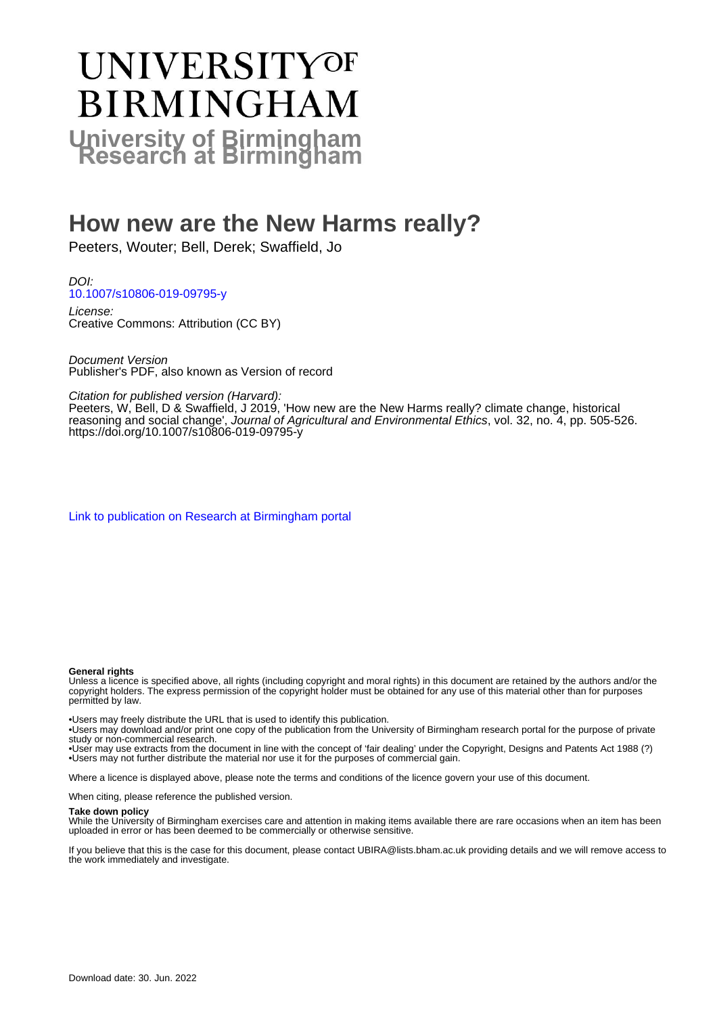# **UNIVERSITYOF BIRMINGHAM University of Birmingham**

# **How new are the New Harms really?**

Peeters, Wouter; Bell, Derek; Swaffield, Jo

DOI: [10.1007/s10806-019-09795-y](https://doi.org/10.1007/s10806-019-09795-y)

License: Creative Commons: Attribution (CC BY)

Document Version Publisher's PDF, also known as Version of record

Citation for published version (Harvard):

Peeters, W, Bell, D & Swaffield, J 2019, 'How new are the New Harms really? climate change, historical reasoning and social change', Journal of Agricultural and Environmental Ethics, vol. 32, no. 4, pp. 505-526. <https://doi.org/10.1007/s10806-019-09795-y>

[Link to publication on Research at Birmingham portal](https://birmingham.elsevierpure.com/en/publications/e1589450-62d0-4a0a-8c00-3177cbdf15c5)

#### **General rights**

Unless a licence is specified above, all rights (including copyright and moral rights) in this document are retained by the authors and/or the copyright holders. The express permission of the copyright holder must be obtained for any use of this material other than for purposes permitted by law.

• Users may freely distribute the URL that is used to identify this publication.

• Users may download and/or print one copy of the publication from the University of Birmingham research portal for the purpose of private study or non-commercial research.

• User may use extracts from the document in line with the concept of 'fair dealing' under the Copyright, Designs and Patents Act 1988 (?) • Users may not further distribute the material nor use it for the purposes of commercial gain.

Where a licence is displayed above, please note the terms and conditions of the licence govern your use of this document.

When citing, please reference the published version.

#### **Take down policy**

While the University of Birmingham exercises care and attention in making items available there are rare occasions when an item has been uploaded in error or has been deemed to be commercially or otherwise sensitive.

If you believe that this is the case for this document, please contact UBIRA@lists.bham.ac.uk providing details and we will remove access to the work immediately and investigate.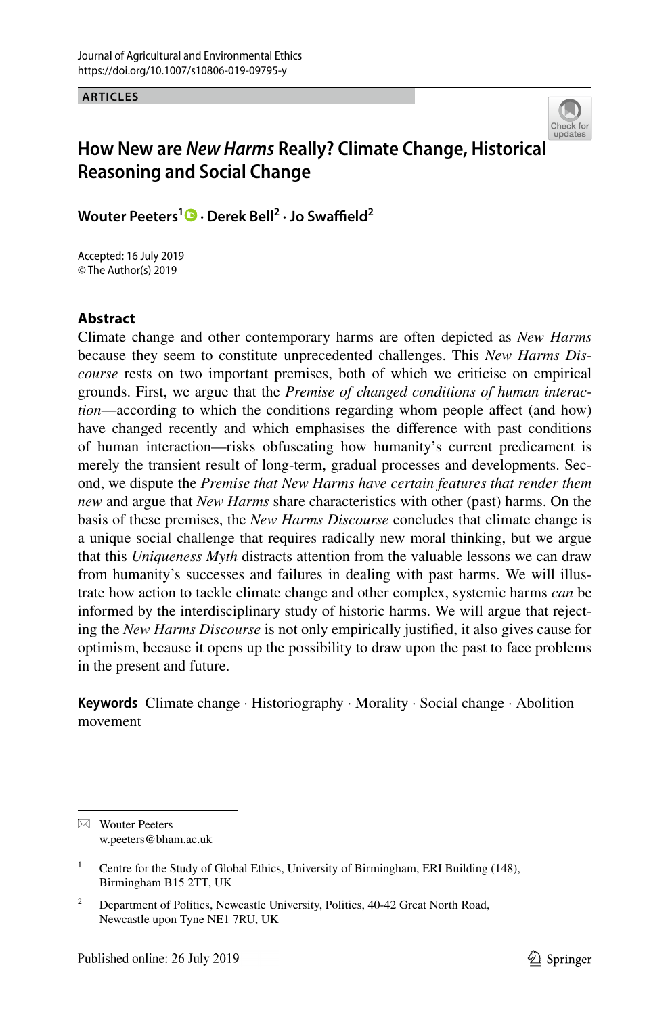**ARTICLES**



# **How New are** *New Harms* **Really? Climate Change, Historica[l](http://crossmark.crossref.org/dialog/?doi=10.1007/s10806-019-09795-y&domain=pdf)  Reasoning and Social Change**

 $W$ outer Peeters<sup>[1](http://orcid.org/0000-0002-6427-9085)</sup>  $\bullet$  · Derek Bell<sup>2</sup> · Jo Swaffield<sup>2</sup>

Accepted: 16 July 2019 © The Author(s) 2019

#### **Abstract**

Climate change and other contemporary harms are often depicted as *New Harms* because they seem to constitute unprecedented challenges. This *New Harms Discourse* rests on two important premises, both of which we criticise on empirical grounds. First, we argue that the *Premise of changed conditions of human interaction*—according to which the conditions regarding whom people affect (and how) have changed recently and which emphasises the diference with past conditions of human interaction—risks obfuscating how humanity's current predicament is merely the transient result of long-term, gradual processes and developments. Second, we dispute the *Premise that New Harms have certain features that render them new* and argue that *New Harms* share characteristics with other (past) harms. On the basis of these premises, the *New Harms Discourse* concludes that climate change is a unique social challenge that requires radically new moral thinking, but we argue that this *Uniqueness Myth* distracts attention from the valuable lessons we can draw from humanity's successes and failures in dealing with past harms. We will illustrate how action to tackle climate change and other complex, systemic harms *can* be informed by the interdisciplinary study of historic harms. We will argue that rejecting the *New Harms Discourse* is not only empirically justifed, it also gives cause for optimism, because it opens up the possibility to draw upon the past to face problems in the present and future.

**Keywords** Climate change · Historiography · Morality · Social change · Abolition movement

 $\boxtimes$  Wouter Peeters w.peeters@bham.ac.uk

<sup>&</sup>lt;sup>1</sup> Centre for the Study of Global Ethics, University of Birmingham, ERI Building (148), Birmingham B15 2TT, UK

<sup>&</sup>lt;sup>2</sup> Department of Politics, Newcastle University, Politics, 40-42 Great North Road, Newcastle upon Tyne NE1 7RU, UK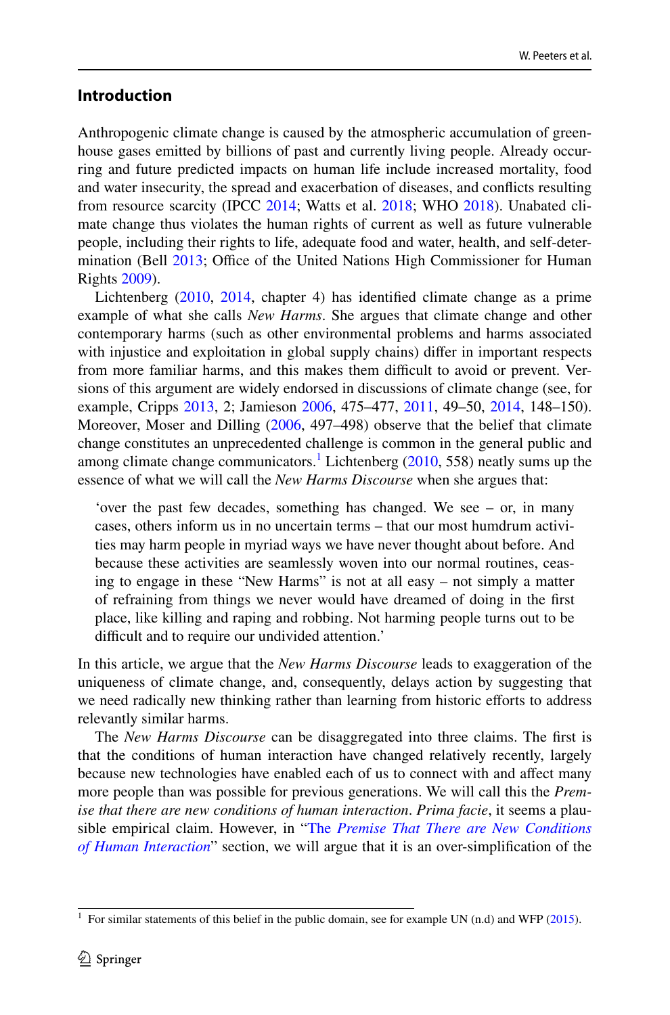#### <span id="page-2-1"></span>**Introduction**

Anthropogenic climate change is caused by the atmospheric accumulation of greenhouse gases emitted by billions of past and currently living people. Already occurring and future predicted impacts on human life include increased mortality, food and water insecurity, the spread and exacerbation of diseases, and conficts resulting from resource scarcity (IPCC [2014;](#page-21-0) Watts et al. [2018;](#page-22-0) WHO [2018](#page-22-1)). Unabated climate change thus violates the human rights of current as well as future vulnerable people, including their rights to life, adequate food and water, health, and self-determination (Bell  $2013$ ; Office of the United Nations High Commissioner for Human Rights [2009\)](#page-21-1).

Lichtenberg ([2010,](#page-21-2) [2014,](#page-21-3) chapter 4) has identifed climate change as a prime example of what she calls *New Harms*. She argues that climate change and other contemporary harms (such as other environmental problems and harms associated with injustice and exploitation in global supply chains) difer in important respects from more familiar harms, and this makes them difficult to avoid or prevent. Versions of this argument are widely endorsed in discussions of climate change (see, for example, Cripps [2013,](#page-20-1) 2; Jamieson [2006](#page-21-4), 475–477, [2011,](#page-21-5) 49–50, [2014,](#page-21-6) 148–150). Moreover, Moser and Dilling ([2006,](#page-21-7) 497–498) observe that the belief that climate change constitutes an unprecedented challenge is common in the general public and among climate change communicators.<sup>[1](#page-2-0)</sup> Lichtenberg  $(2010, 558)$  $(2010, 558)$  $(2010, 558)$  neatly sums up the essence of what we will call the *New Harms Discourse* when she argues that:

'over the past few decades, something has changed. We see – or, in many cases, others inform us in no uncertain terms – that our most humdrum activities may harm people in myriad ways we have never thought about before. And because these activities are seamlessly woven into our normal routines, ceasing to engage in these "New Harms" is not at all easy – not simply a matter of refraining from things we never would have dreamed of doing in the frst place, like killing and raping and robbing. Not harming people turns out to be difficult and to require our undivided attention.'

In this article, we argue that the *New Harms Discourse* leads to exaggeration of the uniqueness of climate change, and, consequently, delays action by suggesting that we need radically new thinking rather than learning from historic efforts to address relevantly similar harms.

The *New Harms Discourse* can be disaggregated into three claims. The frst is that the conditions of human interaction have changed relatively recently, largely because new technologies have enabled each of us to connect with and afect many more people than was possible for previous generations. We will call this the *Premise that there are new conditions of human interaction*. *Prima facie*, it seems a plausible empirical claim. However, in "The *[Premise That There are New Conditions](#page-4-0) [of Human Interaction](#page-4-0)*" section, we will argue that it is an over-simplifcation of the

<span id="page-2-0"></span><sup>&</sup>lt;sup>1</sup> For similar statements of this belief in the public domain, see for example UN (n.d) and WFP [\(2015](#page-22-2)).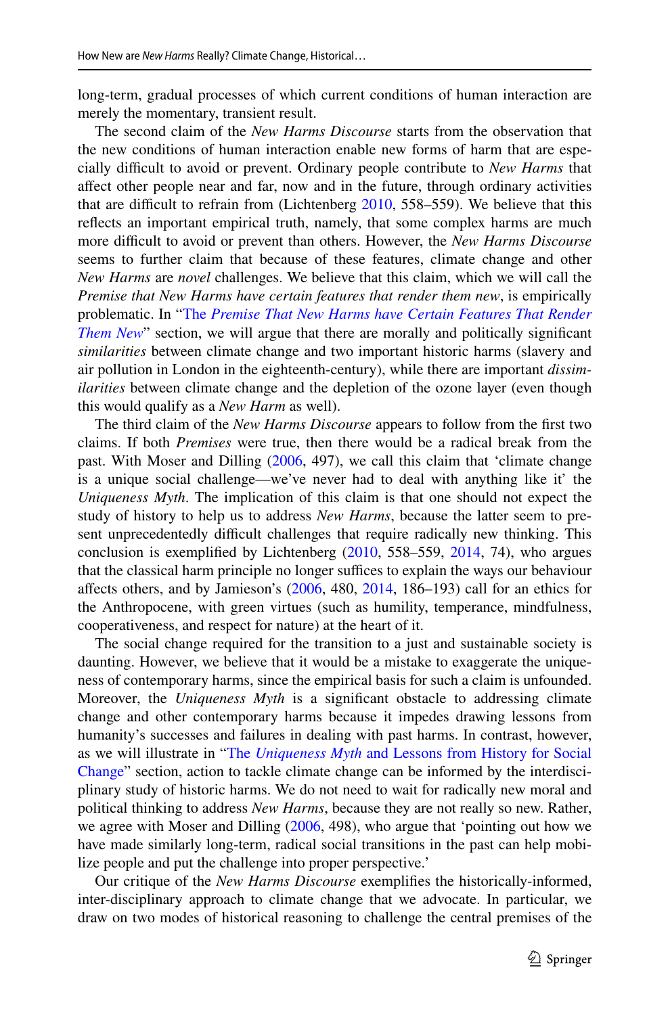long-term, gradual processes of which current conditions of human interaction are merely the momentary, transient result.

The second claim of the *New Harms Discourse* starts from the observation that the new conditions of human interaction enable new forms of harm that are especially difficult to avoid or prevent. Ordinary people contribute to *New Harms* that afect other people near and far, now and in the future, through ordinary activities that are difcult to refrain from (Lichtenberg [2010](#page-21-2), 558–559). We believe that this refects an important empirical truth, namely, that some complex harms are much more difcult to avoid or prevent than others. However, the *New Harms Discourse* seems to further claim that because of these features, climate change and other *New Harms* are *novel* challenges. We believe that this claim, which we will call the *Premise that New Harms have certain features that render them new*, is empirically problematic. In "The *[Premise That New Harms have Certain Features That Render](#page-8-0) [Them New](#page-8-0)*" section, we will argue that there are morally and politically significant *similarities* between climate change and two important historic harms (slavery and air pollution in London in the eighteenth-century), while there are important *dissimilarities* between climate change and the depletion of the ozone layer (even though this would qualify as a *New Harm* as well).

The third claim of the *New Harms Discourse* appears to follow from the frst two claims. If both *Premises* were true, then there would be a radical break from the past. With Moser and Dilling ([2006,](#page-21-7) 497), we call this claim that 'climate change is a unique social challenge—we've never had to deal with anything like it' the *Uniqueness Myth*. The implication of this claim is that one should not expect the study of history to help us to address *New Harms*, because the latter seem to present unprecedentedly difficult challenges that require radically new thinking. This conclusion is exemplifed by Lichtenberg ([2010,](#page-21-2) 558–559, [2014](#page-21-3), 74), who argues that the classical harm principle no longer suffices to explain the ways our behaviour affects others, and by Jamieson's  $(2006, 480, 2014, 186-193)$  $(2006, 480, 2014, 186-193)$  $(2006, 480, 2014, 186-193)$  $(2006, 480, 2014, 186-193)$  call for an ethics for the Anthropocene, with green virtues (such as humility, temperance, mindfulness, cooperativeness, and respect for nature) at the heart of it.

The social change required for the transition to a just and sustainable society is daunting. However, we believe that it would be a mistake to exaggerate the uniqueness of contemporary harms, since the empirical basis for such a claim is unfounded. Moreover, the *Uniqueness Myth* is a signifcant obstacle to addressing climate change and other contemporary harms because it impedes drawing lessons from humanity's successes and failures in dealing with past harms. In contrast, however, as we will illustrate in "The *Uniqueness Myth* [and Lessons from History for Social](#page-15-0) [Change](#page-15-0)" section, action to tackle climate change can be informed by the interdisciplinary study of historic harms. We do not need to wait for radically new moral and political thinking to address *New Harms*, because they are not really so new. Rather, we agree with Moser and Dilling [\(2006](#page-21-7), 498), who argue that 'pointing out how we have made similarly long-term, radical social transitions in the past can help mobilize people and put the challenge into proper perspective.'

Our critique of the *New Harms Discourse* exemplifes the historically-informed, inter-disciplinary approach to climate change that we advocate. In particular, we draw on two modes of historical reasoning to challenge the central premises of the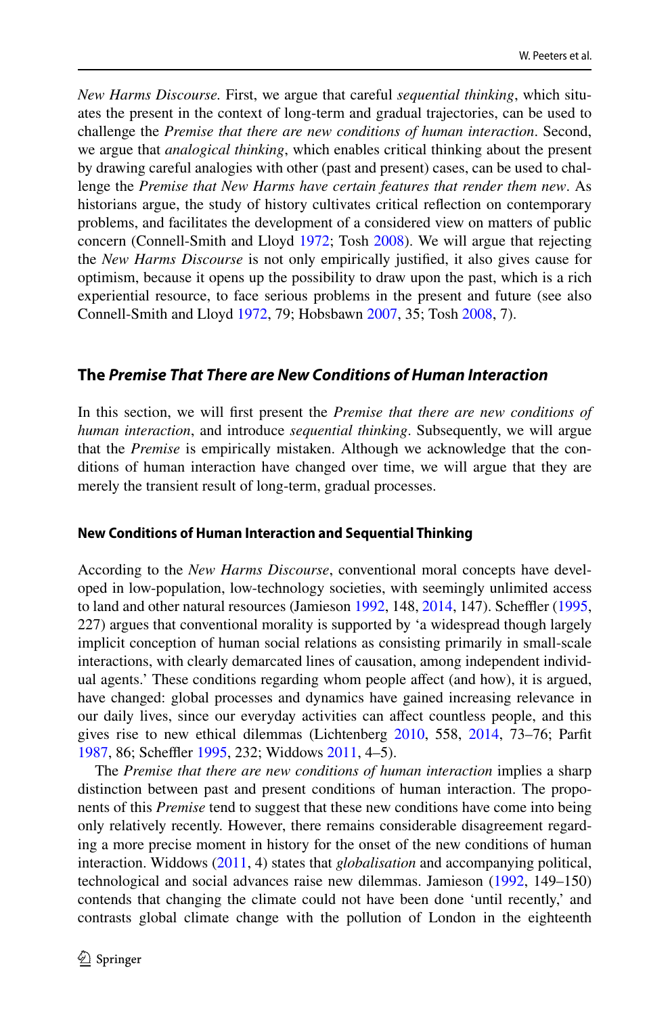*New Harms Discourse.* First, we argue that careful *sequential thinking*, which situates the present in the context of long-term and gradual trajectories, can be used to challenge the *Premise that there are new conditions of human interaction*. Second, we argue that *analogical thinking*, which enables critical thinking about the present by drawing careful analogies with other (past and present) cases, can be used to challenge the *Premise that New Harms have certain features that render them new*. As historians argue, the study of history cultivates critical refection on contemporary problems, and facilitates the development of a considered view on matters of public concern (Connell-Smith and Lloyd [1972](#page-20-2); Tosh [2008](#page-21-8)). We will argue that rejecting the *New Harms Discourse* is not only empirically justifed, it also gives cause for optimism, because it opens up the possibility to draw upon the past, which is a rich experiential resource, to face serious problems in the present and future (see also Connell-Smith and Lloyd [1972,](#page-20-2) 79; Hobsbawn [2007,](#page-20-3) 35; Tosh [2008](#page-21-8), 7).

#### <span id="page-4-0"></span>**The** *Premise That There are New Conditions of Human Interaction*

In this section, we will frst present the *Premise that there are new conditions of human interaction*, and introduce *sequential thinking*. Subsequently, we will argue that the *Premise* is empirically mistaken. Although we acknowledge that the conditions of human interaction have changed over time, we will argue that they are merely the transient result of long-term, gradual processes.

#### **New Conditions of Human Interaction and Sequential Thinking**

According to the *New Harms Discourse*, conventional moral concepts have developed in low-population, low-technology societies, with seemingly unlimited access to land and other natural resources (Jamieson  $1992$ ,  $148$ ,  $2014$ ,  $147$ ). Scheffler ( $1995$ , 227) argues that conventional morality is supported by 'a widespread though largely implicit conception of human social relations as consisting primarily in small-scale interactions, with clearly demarcated lines of causation, among independent individual agents.' These conditions regarding whom people afect (and how), it is argued, have changed: global processes and dynamics have gained increasing relevance in our daily lives, since our everyday activities can afect countless people, and this gives rise to new ethical dilemmas (Lichtenberg [2010,](#page-21-2) 558, [2014,](#page-21-3) 73–76; Parft [1987](#page-21-11), 86; Scheffler [1995](#page-21-10), 232; Widdows [2011,](#page-22-3) 4-5).

The *Premise that there are new conditions of human interaction* implies a sharp distinction between past and present conditions of human interaction. The proponents of this *Premise* tend to suggest that these new conditions have come into being only relatively recently. However, there remains considerable disagreement regarding a more precise moment in history for the onset of the new conditions of human interaction. Widdows [\(2011](#page-22-3), 4) states that *globalisation* and accompanying political, technological and social advances raise new dilemmas. Jamieson ([1992,](#page-21-9) 149–150) contends that changing the climate could not have been done 'until recently,' and contrasts global climate change with the pollution of London in the eighteenth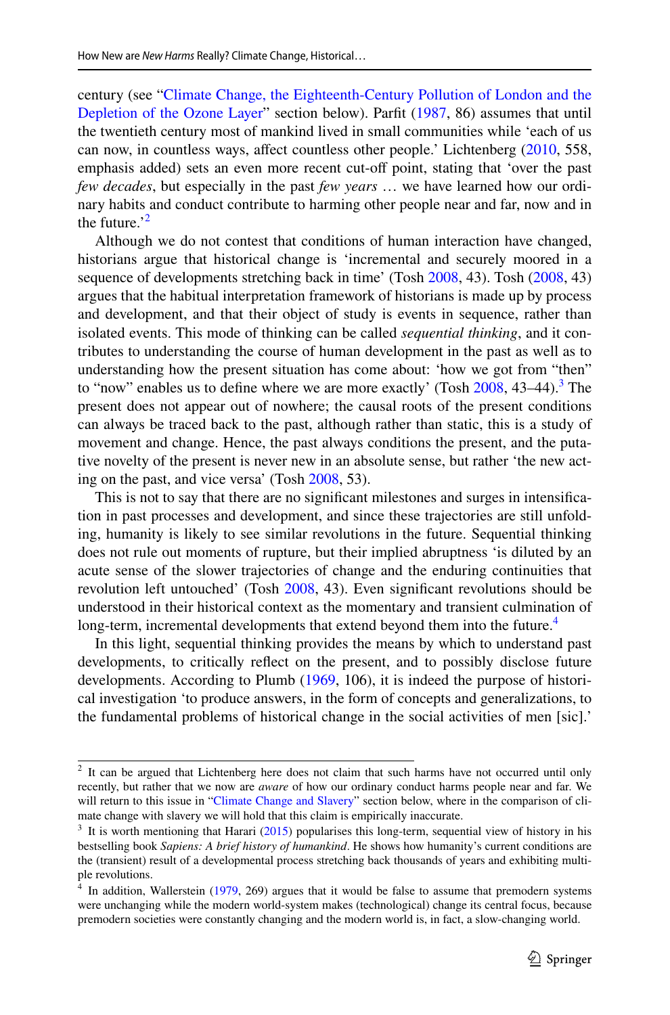century (see ["Climate Change, the Eighteenth-Century Pollution of London and the](#page-13-0) [Depletion of the Ozone Layer"](#page-13-0) section below). Parft [\(1987](#page-21-11), 86) assumes that until the twentieth century most of mankind lived in small communities while 'each of us can now, in countless ways, afect countless other people.' Lichtenberg [\(2010](#page-21-2), 558, emphasis added) sets an even more recent cut-off point, stating that 'over the past *few decades*, but especially in the past *few years* … we have learned how our ordinary habits and conduct contribute to harming other people near and far, now and in the future.<sup>['2](#page-5-0)</sup>

Although we do not contest that conditions of human interaction have changed, historians argue that historical change is 'incremental and securely moored in a sequence of developments stretching back in time' (Tosh [2008,](#page-21-8) 43). Tosh ([2008,](#page-21-8) 43) argues that the habitual interpretation framework of historians is made up by process and development, and that their object of study is events in sequence, rather than isolated events. This mode of thinking can be called *sequential thinking*, and it contributes to understanding the course of human development in the past as well as to understanding how the present situation has come about: 'how we got from "then" to "now" enables us to define where we are more exactly' (Tosh  $2008$ ,  $43-44$  $43-44$  $43-44$ ).<sup>3</sup> The present does not appear out of nowhere; the causal roots of the present conditions can always be traced back to the past, although rather than static, this is a study of movement and change. Hence, the past always conditions the present, and the putative novelty of the present is never new in an absolute sense, but rather 'the new acting on the past, and vice versa' (Tosh [2008,](#page-21-8) 53).

This is not to say that there are no signifcant milestones and surges in intensifcation in past processes and development, and since these trajectories are still unfolding, humanity is likely to see similar revolutions in the future. Sequential thinking does not rule out moments of rupture, but their implied abruptness 'is diluted by an acute sense of the slower trajectories of change and the enduring continuities that revolution left untouched' (Tosh [2008,](#page-21-8) 43). Even significant revolutions should be understood in their historical context as the momentary and transient culmination of long-term, incremental developments that extend beyond them into the future.<sup>[4](#page-5-2)</sup>

In this light, sequential thinking provides the means by which to understand past developments, to critically refect on the present, and to possibly disclose future developments. According to Plumb [\(1969](#page-21-12), 106), it is indeed the purpose of historical investigation 'to produce answers, in the form of concepts and generalizations, to the fundamental problems of historical change in the social activities of men [sic].'

<span id="page-5-0"></span> $2$  It can be argued that Lichtenberg here does not claim that such harms have not occurred until only recently, but rather that we now are *aware* of how our ordinary conduct harms people near and far. We will return to this issue in ["Climate Change and Slavery](#page-10-0)" section below, where in the comparison of climate change with slavery we will hold that this claim is empirically inaccurate.

<span id="page-5-1"></span> $3$  It is worth mentioning that Harari [\(2015](#page-20-4)) popularises this long-term, sequential view of history in his bestselling book *Sapiens: A brief history of humankind*. He shows how humanity's current conditions are the (transient) result of a developmental process stretching back thousands of years and exhibiting multiple revolutions.

<span id="page-5-2"></span>In addition, Wallerstein [\(1979](#page-22-4), 269) argues that it would be false to assume that premodern systems were unchanging while the modern world-system makes (technological) change its central focus, because premodern societies were constantly changing and the modern world is, in fact, a slow-changing world.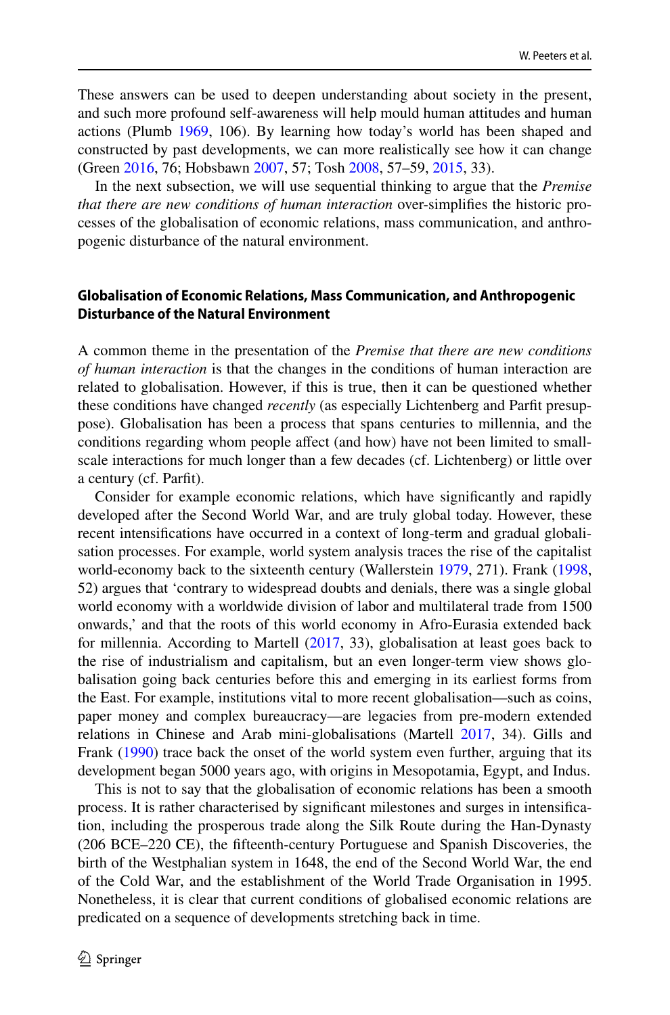These answers can be used to deepen understanding about society in the present, and such more profound self-awareness will help mould human attitudes and human actions (Plumb [1969,](#page-21-12) 106). By learning how today's world has been shaped and constructed by past developments, we can more realistically see how it can change (Green [2016](#page-20-5), 76; Hobsbawn [2007](#page-20-3), 57; Tosh [2008,](#page-21-8) 57–59, [2015,](#page-21-13) 33).

In the next subsection, we will use sequential thinking to argue that the *Premise that there are new conditions of human interaction* over-simplifes the historic processes of the globalisation of economic relations, mass communication, and anthropogenic disturbance of the natural environment.

## **Globalisation of Economic Relations, Mass Communication, and Anthropogenic Disturbance of the Natural Environment**

A common theme in the presentation of the *Premise that there are new conditions of human interaction* is that the changes in the conditions of human interaction are related to globalisation. However, if this is true, then it can be questioned whether these conditions have changed *recently* (as especially Lichtenberg and Parft presuppose). Globalisation has been a process that spans centuries to millennia, and the conditions regarding whom people affect (and how) have not been limited to smallscale interactions for much longer than a few decades (cf. Lichtenberg) or little over a century (cf. Parft).

Consider for example economic relations, which have signifcantly and rapidly developed after the Second World War, and are truly global today. However, these recent intensifcations have occurred in a context of long-term and gradual globalisation processes. For example, world system analysis traces the rise of the capitalist world-economy back to the sixteenth century (Wallerstein [1979](#page-22-4), 271). Frank ([1998,](#page-20-6) 52) argues that 'contrary to widespread doubts and denials, there was a single global world economy with a worldwide division of labor and multilateral trade from 1500 onwards,' and that the roots of this world economy in Afro-Eurasia extended back for millennia. According to Martell [\(2017](#page-21-14), 33), globalisation at least goes back to the rise of industrialism and capitalism, but an even longer-term view shows globalisation going back centuries before this and emerging in its earliest forms from the East. For example, institutions vital to more recent globalisation—such as coins, paper money and complex bureaucracy—are legacies from pre-modern extended relations in Chinese and Arab mini-globalisations (Martell [2017](#page-21-14), 34). Gills and Frank ([1990\)](#page-20-7) trace back the onset of the world system even further, arguing that its development began 5000 years ago, with origins in Mesopotamia, Egypt, and Indus.

This is not to say that the globalisation of economic relations has been a smooth process. It is rather characterised by signifcant milestones and surges in intensifcation, including the prosperous trade along the Silk Route during the Han-Dynasty (206 BCE–220 CE), the ffteenth-century Portuguese and Spanish Discoveries, the birth of the Westphalian system in 1648, the end of the Second World War, the end of the Cold War, and the establishment of the World Trade Organisation in 1995. Nonetheless, it is clear that current conditions of globalised economic relations are predicated on a sequence of developments stretching back in time.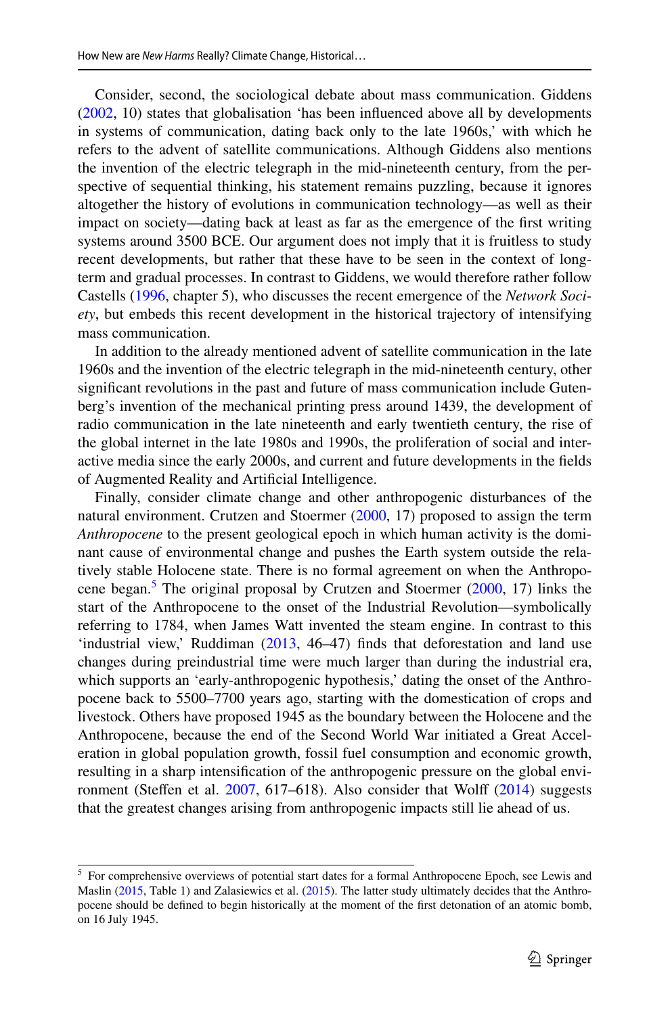Consider, second, the sociological debate about mass communication. Giddens [\(2002](#page-20-8), 10) states that globalisation 'has been infuenced above all by developments in systems of communication, dating back only to the late 1960s,' with which he refers to the advent of satellite communications. Although Giddens also mentions the invention of the electric telegraph in the mid-nineteenth century, from the perspective of sequential thinking, his statement remains puzzling, because it ignores altogether the history of evolutions in communication technology—as well as their impact on society—dating back at least as far as the emergence of the frst writing systems around 3500 BCE. Our argument does not imply that it is fruitless to study recent developments, but rather that these have to be seen in the context of longterm and gradual processes. In contrast to Giddens, we would therefore rather follow Castells ([1996,](#page-20-9) chapter 5), who discusses the recent emergence of the *Network Society*, but embeds this recent development in the historical trajectory of intensifying mass communication.

In addition to the already mentioned advent of satellite communication in the late 1960s and the invention of the electric telegraph in the mid-nineteenth century, other signifcant revolutions in the past and future of mass communication include Gutenberg's invention of the mechanical printing press around 1439, the development of radio communication in the late nineteenth and early twentieth century, the rise of the global internet in the late 1980s and 1990s, the proliferation of social and interactive media since the early 2000s, and current and future developments in the felds of Augmented Reality and Artifcial Intelligence.

Finally, consider climate change and other anthropogenic disturbances of the natural environment. Crutzen and Stoermer ([2000,](#page-20-10) 17) proposed to assign the term *Anthropocene* to the present geological epoch in which human activity is the dominant cause of environmental change and pushes the Earth system outside the relatively stable Holocene state. There is no formal agreement on when the Anthropo-cene began.<sup>[5](#page-7-0)</sup> The original proposal by Crutzen and Stoermer ([2000,](#page-20-10) 17) links the start of the Anthropocene to the onset of the Industrial Revolution—symbolically referring to 1784, when James Watt invented the steam engine. In contrast to this 'industrial view,' Ruddiman ([2013,](#page-21-15) 46–47) fnds that deforestation and land use changes during preindustrial time were much larger than during the industrial era, which supports an 'early-anthropogenic hypothesis,' dating the onset of the Anthropocene back to 5500–7700 years ago, starting with the domestication of crops and livestock. Others have proposed 1945 as the boundary between the Holocene and the Anthropocene, because the end of the Second World War initiated a Great Acceleration in global population growth, fossil fuel consumption and economic growth, resulting in a sharp intensifcation of the anthropogenic pressure on the global environment (Steffen et al.  $2007$ ,  $617–618$ ). Also consider that Wolff ( $2014$ ) suggests that the greatest changes arising from anthropogenic impacts still lie ahead of us.

<span id="page-7-0"></span><sup>&</sup>lt;sup>5</sup> For comprehensive overviews of potential start dates for a formal Anthropocene Epoch, see Lewis and Maslin [\(2015](#page-21-17), Table 1) and Zalasiewics et al. ([2015\)](#page-22-6). The latter study ultimately decides that the Anthropocene should be defned to begin historically at the moment of the frst detonation of an atomic bomb, on 16 July 1945.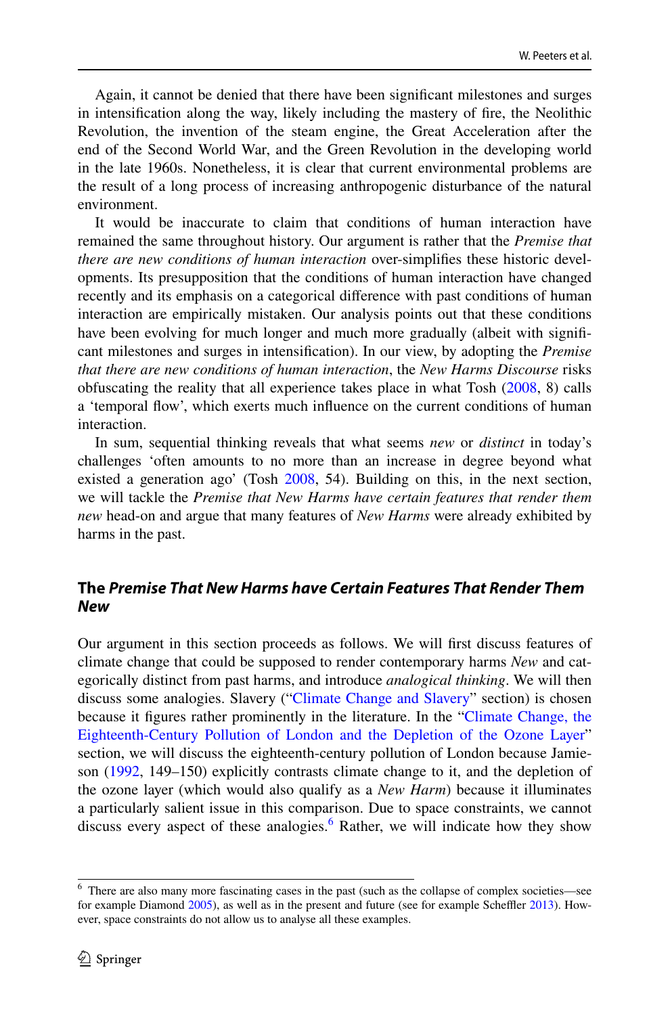Again, it cannot be denied that there have been signifcant milestones and surges in intensifcation along the way, likely including the mastery of fre, the Neolithic Revolution, the invention of the steam engine, the Great Acceleration after the end of the Second World War, and the Green Revolution in the developing world in the late 1960s. Nonetheless, it is clear that current environmental problems are the result of a long process of increasing anthropogenic disturbance of the natural environment.

It would be inaccurate to claim that conditions of human interaction have remained the same throughout history. Our argument is rather that the *Premise that there are new conditions of human interaction* over-simplifes these historic developments. Its presupposition that the conditions of human interaction have changed recently and its emphasis on a categorical diference with past conditions of human interaction are empirically mistaken. Our analysis points out that these conditions have been evolving for much longer and much more gradually (albeit with significant milestones and surges in intensifcation). In our view, by adopting the *Premise that there are new conditions of human interaction*, the *New Harms Discourse* risks obfuscating the reality that all experience takes place in what Tosh ([2008,](#page-21-8) 8) calls a 'temporal fow', which exerts much infuence on the current conditions of human interaction.

In sum, sequential thinking reveals that what seems *new* or *distinct* in today's challenges 'often amounts to no more than an increase in degree beyond what existed a generation ago' (Tosh [2008,](#page-21-8) 54). Building on this, in the next section, we will tackle the *Premise that New Harms have certain features that render them new* head-on and argue that many features of *New Harms* were already exhibited by harms in the past.

# <span id="page-8-0"></span>**The** *Premise That New Harms have Certain Features That Render Them New*

Our argument in this section proceeds as follows. We will frst discuss features of climate change that could be supposed to render contemporary harms *New* and categorically distinct from past harms, and introduce *analogical thinking*. We will then discuss some analogies. Slavery (["Climate Change and Slavery](#page-10-0)" section) is chosen because it fgures rather prominently in the literature. In the "[Climate Change, the](#page-13-0) [Eighteenth-Century Pollution of London and the Depletion of the Ozone Layer"](#page-13-0) section, we will discuss the eighteenth-century pollution of London because Jamieson ([1992,](#page-21-9) 149–150) explicitly contrasts climate change to it, and the depletion of the ozone layer (which would also qualify as a *New Harm*) because it illuminates a particularly salient issue in this comparison. Due to space constraints, we cannot discuss every aspect of these analogies. $6$  Rather, we will indicate how they show

<span id="page-8-1"></span><sup>6</sup> There are also many more fascinating cases in the past (such as the collapse of complex societies—see for example Diamond [2005\)](#page-20-11), as well as in the present and future (see for example Scheffler [2013\)](#page-21-18). However, space constraints do not allow us to analyse all these examples.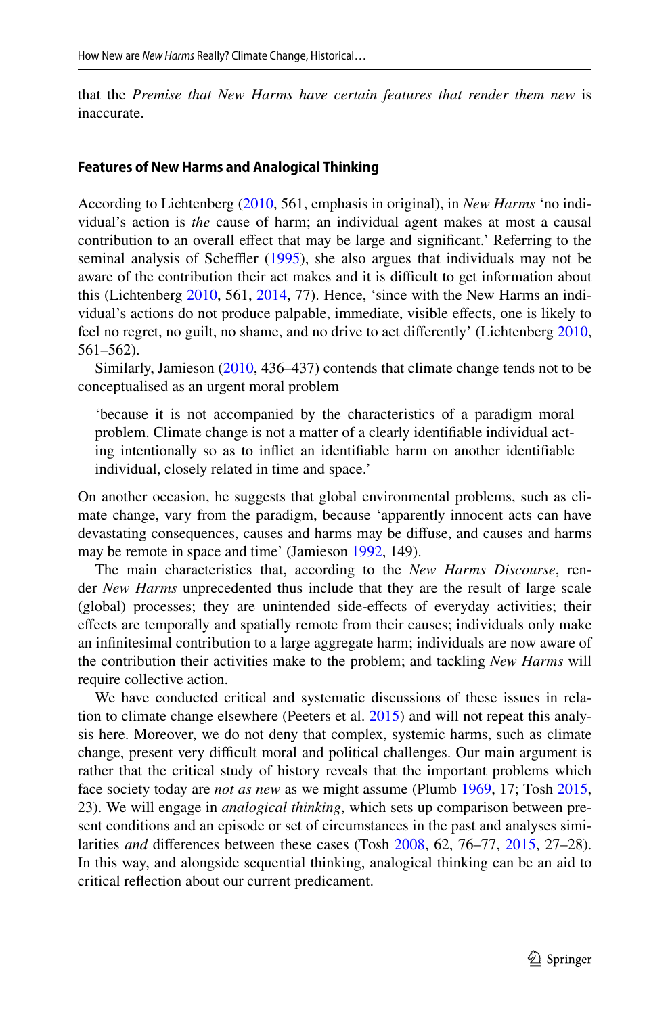that the *Premise that New Harms have certain features that render them new* is inaccurate.

#### **Features of New Harms and Analogical Thinking**

According to Lichtenberg [\(2010](#page-21-2), 561, emphasis in original), in *New Harms* 'no individual's action is *the* cause of harm; an individual agent makes at most a causal contribution to an overall efect that may be large and signifcant.' Referring to the seminal analysis of Scheffler  $(1995)$  $(1995)$ , she also argues that individuals may not be aware of the contribution their act makes and it is difficult to get information about this (Lichtenberg [2010,](#page-21-2) 561, [2014](#page-21-3), 77). Hence, 'since with the New Harms an individual's actions do not produce palpable, immediate, visible efects, one is likely to feel no regret, no guilt, no shame, and no drive to act diferently' (Lichtenberg [2010,](#page-21-2) 561–562).

Similarly, Jamieson ([2010,](#page-21-19) 436–437) contends that climate change tends not to be conceptualised as an urgent moral problem

'because it is not accompanied by the characteristics of a paradigm moral problem. Climate change is not a matter of a clearly identifable individual acting intentionally so as to infict an identifable harm on another identifable individual, closely related in time and space.'

On another occasion, he suggests that global environmental problems, such as climate change, vary from the paradigm, because 'apparently innocent acts can have devastating consequences, causes and harms may be difuse, and causes and harms may be remote in space and time' (Jamieson [1992,](#page-21-9) 149).

The main characteristics that, according to the *New Harms Discourse*, render *New Harms* unprecedented thus include that they are the result of large scale (global) processes; they are unintended side-efects of everyday activities; their efects are temporally and spatially remote from their causes; individuals only make an infnitesimal contribution to a large aggregate harm; individuals are now aware of the contribution their activities make to the problem; and tackling *New Harms* will require collective action.

We have conducted critical and systematic discussions of these issues in relation to climate change elsewhere (Peeters et al. [2015](#page-21-20)) and will not repeat this analysis here. Moreover, we do not deny that complex, systemic harms, such as climate change, present very difficult moral and political challenges. Our main argument is rather that the critical study of history reveals that the important problems which face society today are *not as new* as we might assume (Plumb [1969,](#page-21-12) 17; Tosh [2015,](#page-21-13) 23). We will engage in *analogical thinking*, which sets up comparison between present conditions and an episode or set of circumstances in the past and analyses similarities *and* diferences between these cases (Tosh [2008,](#page-21-8) 62, 76–77, [2015,](#page-21-13) 27–28). In this way, and alongside sequential thinking, analogical thinking can be an aid to critical refection about our current predicament.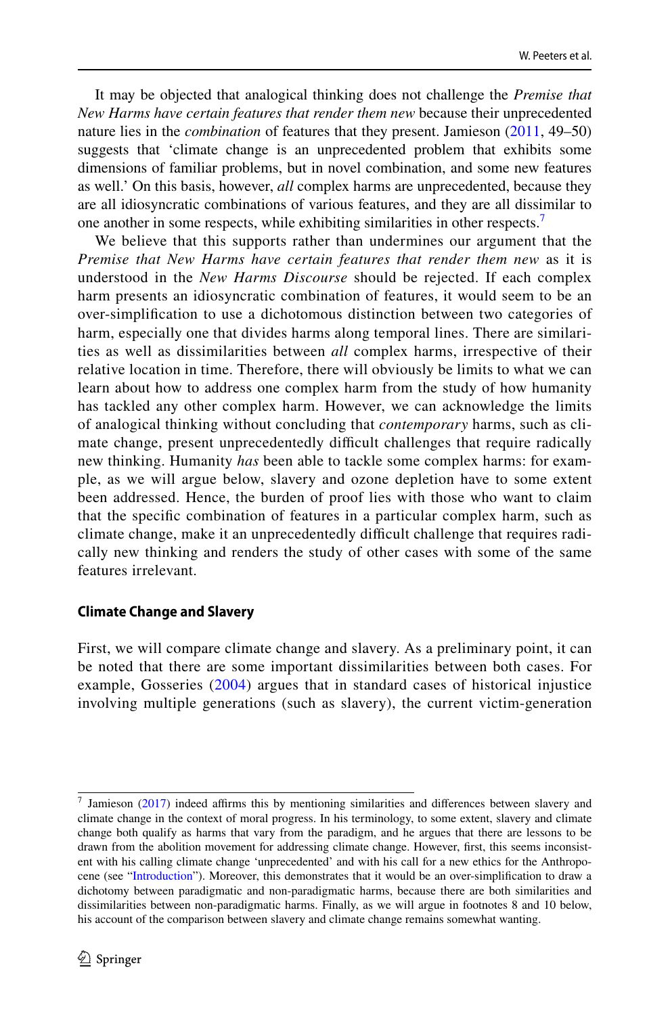It may be objected that analogical thinking does not challenge the *Premise that New Harms have certain features that render them new* because their unprecedented nature lies in the *combination* of features that they present. Jamieson ([2011,](#page-21-5) 49–50) suggests that 'climate change is an unprecedented problem that exhibits some dimensions of familiar problems, but in novel combination, and some new features as well.' On this basis, however, *all* complex harms are unprecedented, because they are all idiosyncratic combinations of various features, and they are all dissimilar to one another in some respects, while exhibiting similarities in other respects.<sup>[7](#page-10-1)</sup>

We believe that this supports rather than undermines our argument that the *Premise that New Harms have certain features that render them new* as it is understood in the *New Harms Discourse* should be rejected. If each complex harm presents an idiosyncratic combination of features, it would seem to be an over-simplifcation to use a dichotomous distinction between two categories of harm, especially one that divides harms along temporal lines. There are similarities as well as dissimilarities between *all* complex harms, irrespective of their relative location in time. Therefore, there will obviously be limits to what we can learn about how to address one complex harm from the study of how humanity has tackled any other complex harm. However, we can acknowledge the limits of analogical thinking without concluding that *contemporary* harms, such as climate change, present unprecedentedly difficult challenges that require radically new thinking. Humanity *has* been able to tackle some complex harms: for example, as we will argue below, slavery and ozone depletion have to some extent been addressed. Hence, the burden of proof lies with those who want to claim that the specifc combination of features in a particular complex harm, such as climate change, make it an unprecedentedly difficult challenge that requires radically new thinking and renders the study of other cases with some of the same features irrelevant.

#### <span id="page-10-0"></span>**Climate Change and Slavery**

First, we will compare climate change and slavery. As a preliminary point, it can be noted that there are some important dissimilarities between both cases. For example, Gosseries ([2004\)](#page-20-12) argues that in standard cases of historical injustice involving multiple generations (such as slavery), the current victim-generation

<span id="page-10-1"></span> $7$  Jamieson [\(2017](#page-21-21)) indeed affirms this by mentioning similarities and differences between slavery and climate change in the context of moral progress. In his terminology, to some extent, slavery and climate change both qualify as harms that vary from the paradigm, and he argues that there are lessons to be drawn from the abolition movement for addressing climate change. However, frst, this seems inconsistent with his calling climate change 'unprecedented' and with his call for a new ethics for the Anthropocene (see ["Introduction"](#page-2-1)). Moreover, this demonstrates that it would be an over-simplifcation to draw a dichotomy between paradigmatic and non-paradigmatic harms, because there are both similarities and dissimilarities between non-paradigmatic harms. Finally, as we will argue in footnotes 8 and 10 below, his account of the comparison between slavery and climate change remains somewhat wanting.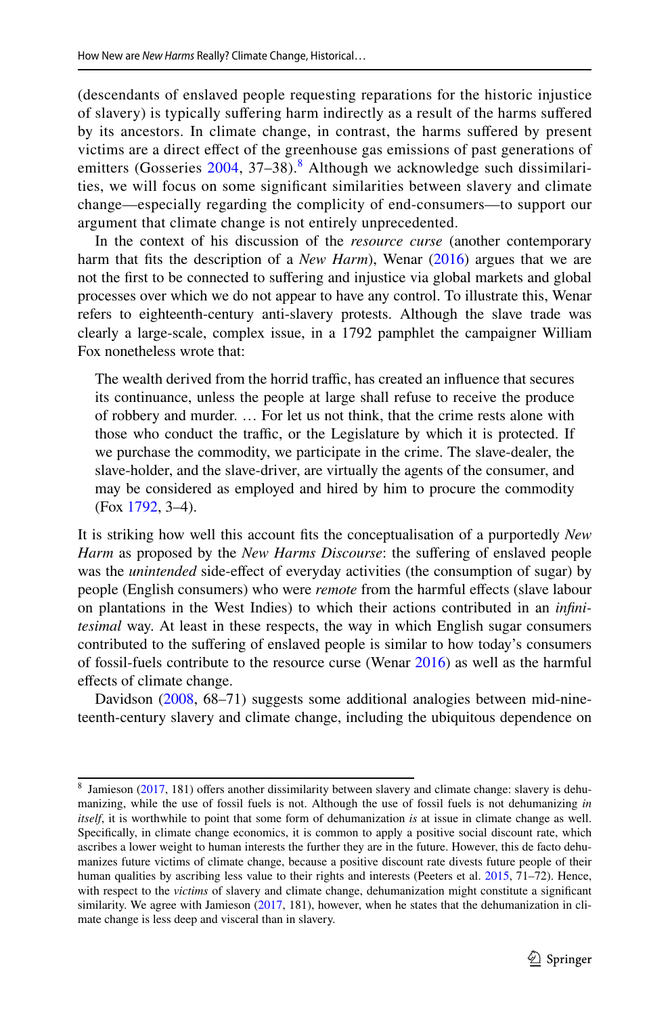(descendants of enslaved people requesting reparations for the historic injustice of slavery) is typically sufering harm indirectly as a result of the harms sufered by its ancestors. In climate change, in contrast, the harms sufered by present victims are a direct efect of the greenhouse gas emissions of past generations of emitters (Gosseries [2004,](#page-20-12) 37–3[8](#page-11-0)).<sup>8</sup> Although we acknowledge such dissimilarities, we will focus on some signifcant similarities between slavery and climate change—especially regarding the complicity of end-consumers—to support our argument that climate change is not entirely unprecedented.

In the context of his discussion of the *resource curse* (another contemporary harm that fits the description of a *New Harm*), Wenar ([2016\)](#page-22-7) argues that we are not the frst to be connected to sufering and injustice via global markets and global processes over which we do not appear to have any control. To illustrate this, Wenar refers to eighteenth-century anti-slavery protests. Although the slave trade was clearly a large-scale, complex issue, in a 1792 pamphlet the campaigner William Fox nonetheless wrote that:

The wealth derived from the horrid traffic, has created an influence that secures its continuance, unless the people at large shall refuse to receive the produce of robbery and murder. … For let us not think, that the crime rests alone with those who conduct the traffic, or the Legislature by which it is protected. If we purchase the commodity, we participate in the crime. The slave-dealer, the slave-holder, and the slave-driver, are virtually the agents of the consumer, and may be considered as employed and hired by him to procure the commodity (Fox [1792](#page-20-13), 3–4).

It is striking how well this account fts the conceptualisation of a purportedly *New*  Harm as proposed by the *New Harms Discourse*: the suffering of enslaved people was the *unintended* side-efect of everyday activities (the consumption of sugar) by people (English consumers) who were *remote* from the harmful efects (slave labour on plantations in the West Indies) to which their actions contributed in an *infnitesimal* way. At least in these respects, the way in which English sugar consumers contributed to the sufering of enslaved people is similar to how today's consumers of fossil-fuels contribute to the resource curse (Wenar [2016](#page-22-7)) as well as the harmful efects of climate change.

Davidson [\(2008](#page-20-14), 68–71) suggests some additional analogies between mid-nineteenth-century slavery and climate change, including the ubiquitous dependence on

<span id="page-11-0"></span><sup>&</sup>lt;sup>8</sup> Jamieson [\(2017](#page-21-21), 181) offers another dissimilarity between slavery and climate change: slavery is dehumanizing, while the use of fossil fuels is not. Although the use of fossil fuels is not dehumanizing *in itself*, it is worthwhile to point that some form of dehumanization *is* at issue in climate change as well. Specifcally, in climate change economics, it is common to apply a positive social discount rate, which ascribes a lower weight to human interests the further they are in the future. However, this de facto dehumanizes future victims of climate change, because a positive discount rate divests future people of their human qualities by ascribing less value to their rights and interests (Peeters et al. [2015](#page-21-20), 71–72). Hence, with respect to the *victims* of slavery and climate change, dehumanization might constitute a signifcant similarity. We agree with Jamieson [\(2017](#page-21-21), 181), however, when he states that the dehumanization in climate change is less deep and visceral than in slavery.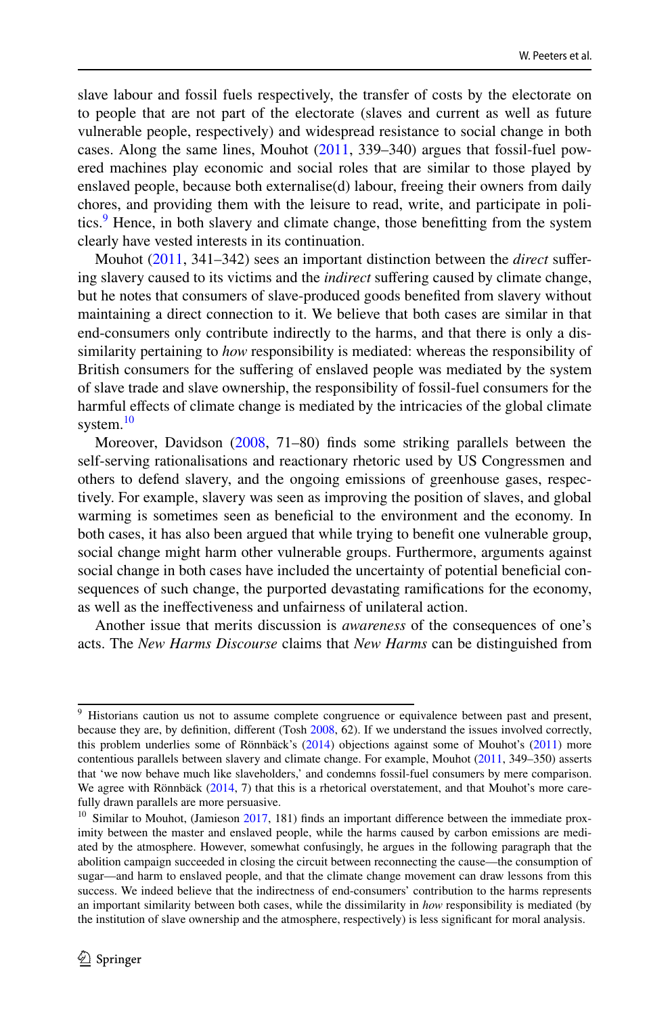slave labour and fossil fuels respectively, the transfer of costs by the electorate on to people that are not part of the electorate (slaves and current as well as future vulnerable people, respectively) and widespread resistance to social change in both cases. Along the same lines, Mouhot [\(2011](#page-21-22), 339–340) argues that fossil-fuel powered machines play economic and social roles that are similar to those played by enslaved people, because both externalise(d) labour, freeing their owners from daily chores, and providing them with the leisure to read, write, and participate in politics.<sup>9</sup> Hence, in both slavery and climate change, those benefitting from the system clearly have vested interests in its continuation.

Mouhot [\(2011](#page-21-22), 341–342) sees an important distinction between the *direct* sufering slavery caused to its victims and the *indirect* suffering caused by climate change, but he notes that consumers of slave-produced goods benefted from slavery without maintaining a direct connection to it. We believe that both cases are similar in that end-consumers only contribute indirectly to the harms, and that there is only a dissimilarity pertaining to *how* responsibility is mediated: whereas the responsibility of British consumers for the sufering of enslaved people was mediated by the system of slave trade and slave ownership, the responsibility of fossil-fuel consumers for the harmful effects of climate change is mediated by the intricacies of the global climate system.<sup>[10](#page-12-1)</sup>

Moreover, Davidson [\(2008](#page-20-14), 71–80) fnds some striking parallels between the self-serving rationalisations and reactionary rhetoric used by US Congressmen and others to defend slavery, and the ongoing emissions of greenhouse gases, respectively. For example, slavery was seen as improving the position of slaves, and global warming is sometimes seen as benefcial to the environment and the economy. In both cases, it has also been argued that while trying to beneft one vulnerable group, social change might harm other vulnerable groups. Furthermore, arguments against social change in both cases have included the uncertainty of potential beneficial consequences of such change, the purported devastating ramifcations for the economy, as well as the inefectiveness and unfairness of unilateral action.

Another issue that merits discussion is *awareness* of the consequences of one's acts. The *New Harms Discourse* claims that *New Harms* can be distinguished from

<span id="page-12-0"></span><sup>&</sup>lt;sup>9</sup> Historians caution us not to assume complete congruence or equivalence between past and present, because they are, by defnition, diferent (Tosh [2008,](#page-21-8) 62). If we understand the issues involved correctly, this problem underlies some of Rönnbäck's ([2014\)](#page-21-23) objections against some of Mouhot's [\(2011](#page-21-22)) more contentious parallels between slavery and climate change. For example, Mouhot ([2011,](#page-21-22) 349–350) asserts that 'we now behave much like slaveholders,' and condemns fossil-fuel consumers by mere comparison. We agree with Rönnbäck ([2014,](#page-21-23) 7) that this is a rhetorical overstatement, and that Mouhot's more carefully drawn parallels are more persuasive.

<span id="page-12-1"></span> $10$  Similar to Mouhot, (Jamieson  $2017$ , 181) finds an important difference between the immediate proximity between the master and enslaved people, while the harms caused by carbon emissions are mediated by the atmosphere. However, somewhat confusingly, he argues in the following paragraph that the abolition campaign succeeded in closing the circuit between reconnecting the cause—the consumption of sugar—and harm to enslaved people, and that the climate change movement can draw lessons from this success. We indeed believe that the indirectness of end-consumers' contribution to the harms represents an important similarity between both cases, while the dissimilarity in *how* responsibility is mediated (by the institution of slave ownership and the atmosphere, respectively) is less signifcant for moral analysis.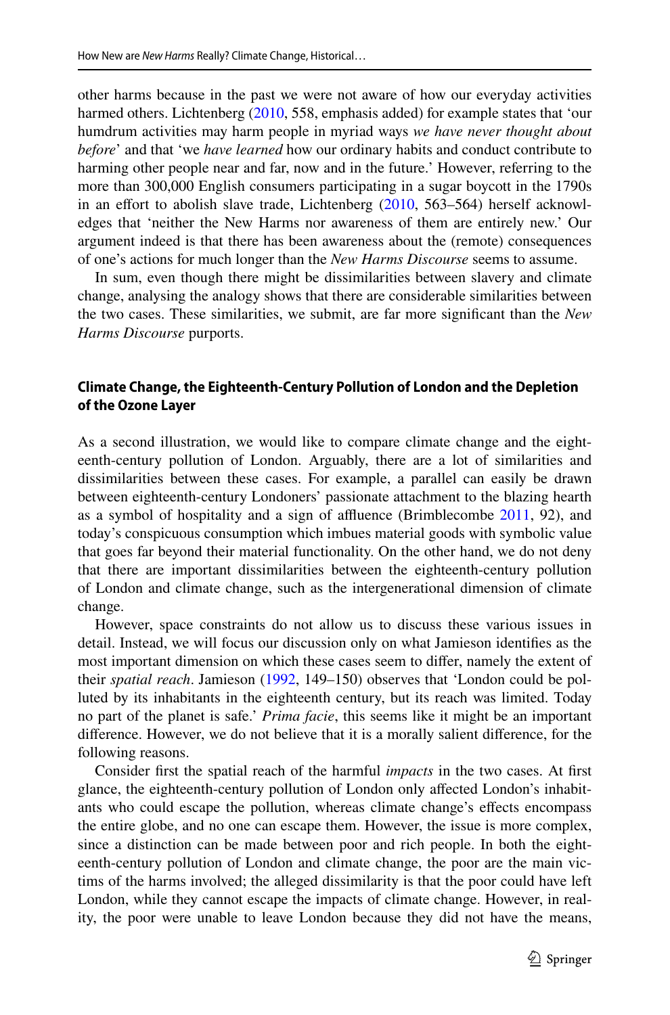other harms because in the past we were not aware of how our everyday activities harmed others. Lichtenberg [\(2010](#page-21-2), 558, emphasis added) for example states that 'our humdrum activities may harm people in myriad ways *we have never thought about before*' and that 'we *have learned* how our ordinary habits and conduct contribute to harming other people near and far, now and in the future.' However, referring to the more than 300,000 English consumers participating in a sugar boycott in the 1790s in an effort to abolish slave trade, Lichtenberg  $(2010, 563-564)$  $(2010, 563-564)$  herself acknowledges that 'neither the New Harms nor awareness of them are entirely new.' Our argument indeed is that there has been awareness about the (remote) consequences of one's actions for much longer than the *New Harms Discourse* seems to assume.

In sum, even though there might be dissimilarities between slavery and climate change, analysing the analogy shows that there are considerable similarities between the two cases. These similarities, we submit, are far more signifcant than the *New Harms Discourse* purports.

#### <span id="page-13-0"></span>**Climate Change, the Eighteenth‑Century Pollution of London and the Depletion of the Ozone Layer**

As a second illustration, we would like to compare climate change and the eighteenth-century pollution of London. Arguably, there are a lot of similarities and dissimilarities between these cases. For example, a parallel can easily be drawn between eighteenth-century Londoners' passionate attachment to the blazing hearth as a symbol of hospitality and a sign of afuence (Brimblecombe [2011](#page-20-15), 92), and today's conspicuous consumption which imbues material goods with symbolic value that goes far beyond their material functionality. On the other hand, we do not deny that there are important dissimilarities between the eighteenth-century pollution of London and climate change, such as the intergenerational dimension of climate change.

However, space constraints do not allow us to discuss these various issues in detail. Instead, we will focus our discussion only on what Jamieson identifes as the most important dimension on which these cases seem to difer, namely the extent of their *spatial reach*. Jamieson ([1992,](#page-21-9) 149–150) observes that 'London could be polluted by its inhabitants in the eighteenth century, but its reach was limited. Today no part of the planet is safe.' *Prima facie*, this seems like it might be an important diference. However, we do not believe that it is a morally salient diference, for the following reasons.

Consider frst the spatial reach of the harmful *impacts* in the two cases. At frst glance, the eighteenth-century pollution of London only afected London's inhabitants who could escape the pollution, whereas climate change's efects encompass the entire globe, and no one can escape them. However, the issue is more complex, since a distinction can be made between poor and rich people. In both the eighteenth-century pollution of London and climate change, the poor are the main victims of the harms involved; the alleged dissimilarity is that the poor could have left London, while they cannot escape the impacts of climate change. However, in reality, the poor were unable to leave London because they did not have the means,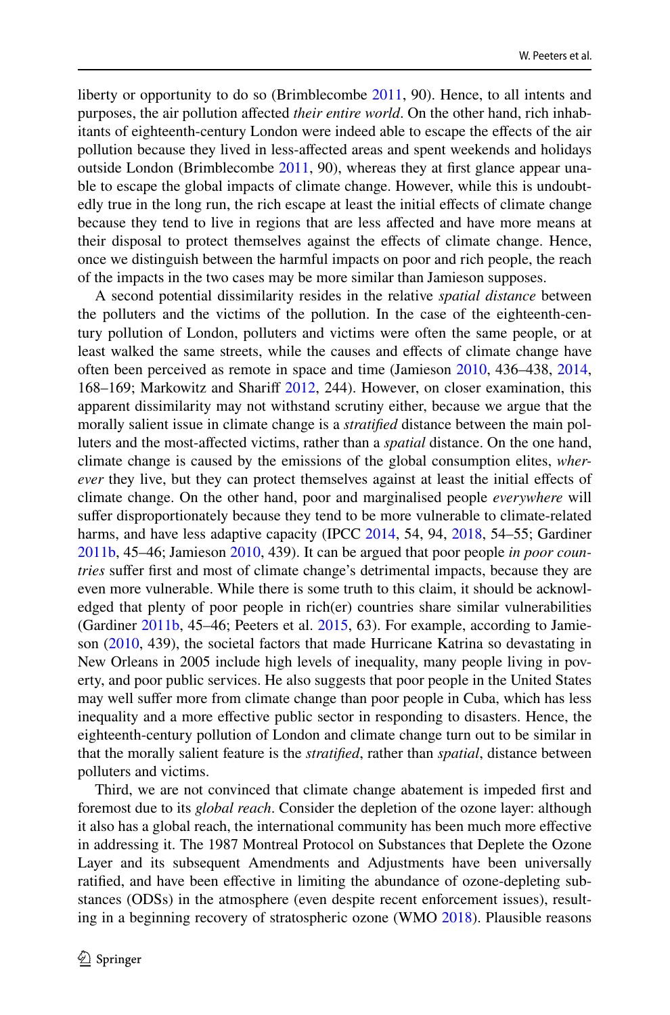liberty or opportunity to do so (Brimblecombe [2011](#page-20-15), 90). Hence, to all intents and purposes, the air pollution afected *their entire world*. On the other hand, rich inhabitants of eighteenth-century London were indeed able to escape the efects of the air pollution because they lived in less-afected areas and spent weekends and holidays outside London (Brimblecombe [2011,](#page-20-15) 90), whereas they at first glance appear unable to escape the global impacts of climate change. However, while this is undoubtedly true in the long run, the rich escape at least the initial efects of climate change because they tend to live in regions that are less afected and have more means at their disposal to protect themselves against the efects of climate change. Hence, once we distinguish between the harmful impacts on poor and rich people, the reach of the impacts in the two cases may be more similar than Jamieson supposes.

A second potential dissimilarity resides in the relative *spatial distance* between the polluters and the victims of the pollution. In the case of the eighteenth-century pollution of London, polluters and victims were often the same people, or at least walked the same streets, while the causes and efects of climate change have often been perceived as remote in space and time (Jamieson [2010](#page-21-19), 436–438, [2014,](#page-21-6) 168–169; Markowitz and Sharif [2012](#page-21-24), 244). However, on closer examination, this apparent dissimilarity may not withstand scrutiny either, because we argue that the morally salient issue in climate change is a *stratifed* distance between the main polluters and the most-afected victims, rather than a *spatial* distance. On the one hand, climate change is caused by the emissions of the global consumption elites, *wherever* they live, but they can protect themselves against at least the initial effects of climate change. On the other hand, poor and marginalised people *everywhere* will sufer disproportionately because they tend to be more vulnerable to climate-related harms, and have less adaptive capacity (IPCC [2014,](#page-21-0) 54, 94, [2018](#page-21-25), 54–55; Gardiner [2011b](#page-20-16), 45–46; Jamieson [2010,](#page-21-19) 439). It can be argued that poor people *in poor countries* suffer first and most of climate change's detrimental impacts, because they are even more vulnerable. While there is some truth to this claim, it should be acknowledged that plenty of poor people in rich(er) countries share similar vulnerabilities (Gardiner [2011b,](#page-20-16) 45–46; Peeters et al. [2015,](#page-21-20) 63). For example, according to Jamieson [\(2010](#page-21-19), 439), the societal factors that made Hurricane Katrina so devastating in New Orleans in 2005 include high levels of inequality, many people living in poverty, and poor public services. He also suggests that poor people in the United States may well sufer more from climate change than poor people in Cuba, which has less inequality and a more efective public sector in responding to disasters. Hence, the eighteenth-century pollution of London and climate change turn out to be similar in that the morally salient feature is the *stratifed*, rather than *spatial*, distance between polluters and victims.

Third, we are not convinced that climate change abatement is impeded frst and foremost due to its *global reach*. Consider the depletion of the ozone layer: although it also has a global reach, the international community has been much more efective in addressing it. The 1987 Montreal Protocol on Substances that Deplete the Ozone Layer and its subsequent Amendments and Adjustments have been universally ratifed, and have been efective in limiting the abundance of ozone-depleting substances (ODSs) in the atmosphere (even despite recent enforcement issues), resulting in a beginning recovery of stratospheric ozone (WMO [2018\)](#page-22-8). Plausible reasons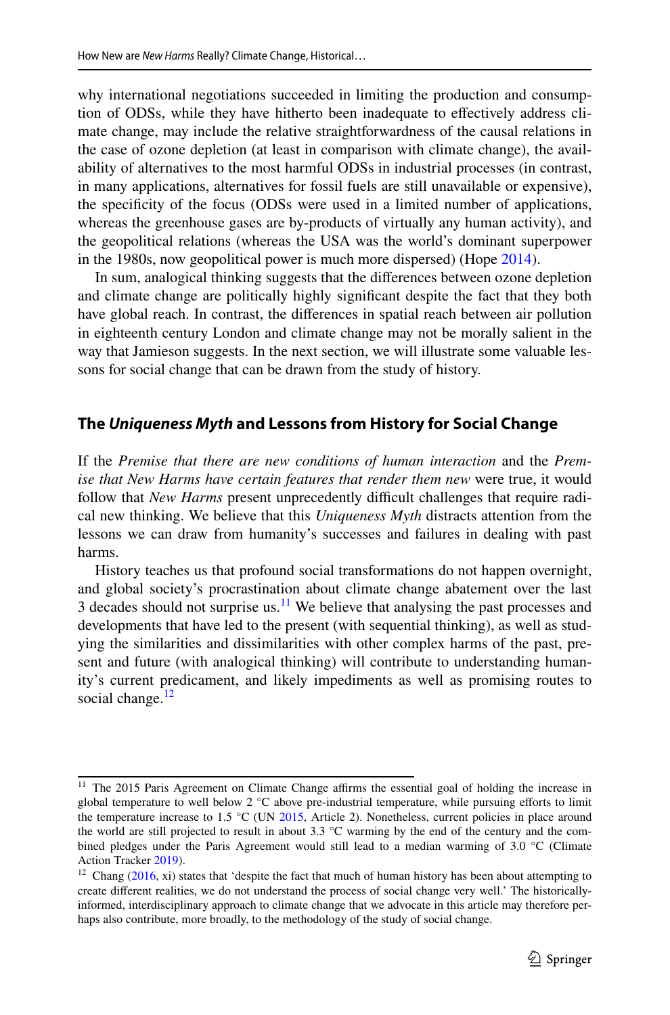why international negotiations succeeded in limiting the production and consumption of ODSs, while they have hitherto been inadequate to efectively address climate change, may include the relative straightforwardness of the causal relations in the case of ozone depletion (at least in comparison with climate change), the availability of alternatives to the most harmful ODSs in industrial processes (in contrast, in many applications, alternatives for fossil fuels are still unavailable or expensive), the specifcity of the focus (ODSs were used in a limited number of applications, whereas the greenhouse gases are by-products of virtually any human activity), and the geopolitical relations (whereas the USA was the world's dominant superpower in the 1980s, now geopolitical power is much more dispersed) (Hope [2014](#page-21-26)).

In sum, analogical thinking suggests that the diferences between ozone depletion and climate change are politically highly signifcant despite the fact that they both have global reach. In contrast, the diferences in spatial reach between air pollution in eighteenth century London and climate change may not be morally salient in the way that Jamieson suggests. In the next section, we will illustrate some valuable lessons for social change that can be drawn from the study of history.

## <span id="page-15-0"></span>**The** *Uniqueness Myth* **and Lessons from History for Social Change**

If the *Premise that there are new conditions of human interaction* and the *Premise that New Harms have certain features that render them new* were true, it would follow that *New Harms* present unprecedently difficult challenges that require radical new thinking. We believe that this *Uniqueness Myth* distracts attention from the lessons we can draw from humanity's successes and failures in dealing with past harms.

History teaches us that profound social transformations do not happen overnight, and global society's procrastination about climate change abatement over the last 3 decades should not surprise us.<sup>11</sup> We believe that analysing the past processes and developments that have led to the present (with sequential thinking), as well as studying the similarities and dissimilarities with other complex harms of the past, present and future (with analogical thinking) will contribute to understanding humanity's current predicament, and likely impediments as well as promising routes to social change. $12$ 

<span id="page-15-1"></span><sup>&</sup>lt;sup>11</sup> The 2015 Paris Agreement on Climate Change affirms the essential goal of holding the increase in global temperature to well below 2 °C above pre-industrial temperature, while pursuing eforts to limit the temperature increase to 1.5 °C (UN [2015](#page-22-9), Article 2). Nonetheless, current policies in place around the world are still projected to result in about 3.3 °C warming by the end of the century and the combined pledges under the Paris Agreement would still lead to a median warming of 3.0 °C (Climate Action Tracker [2019](#page-20-17)).

<span id="page-15-2"></span><sup>&</sup>lt;sup>12</sup> Chang [\(2016](#page-20-18), xi) states that 'despite the fact that much of human history has been about attempting to create diferent realities, we do not understand the process of social change very well.' The historicallyinformed, interdisciplinary approach to climate change that we advocate in this article may therefore perhaps also contribute, more broadly, to the methodology of the study of social change.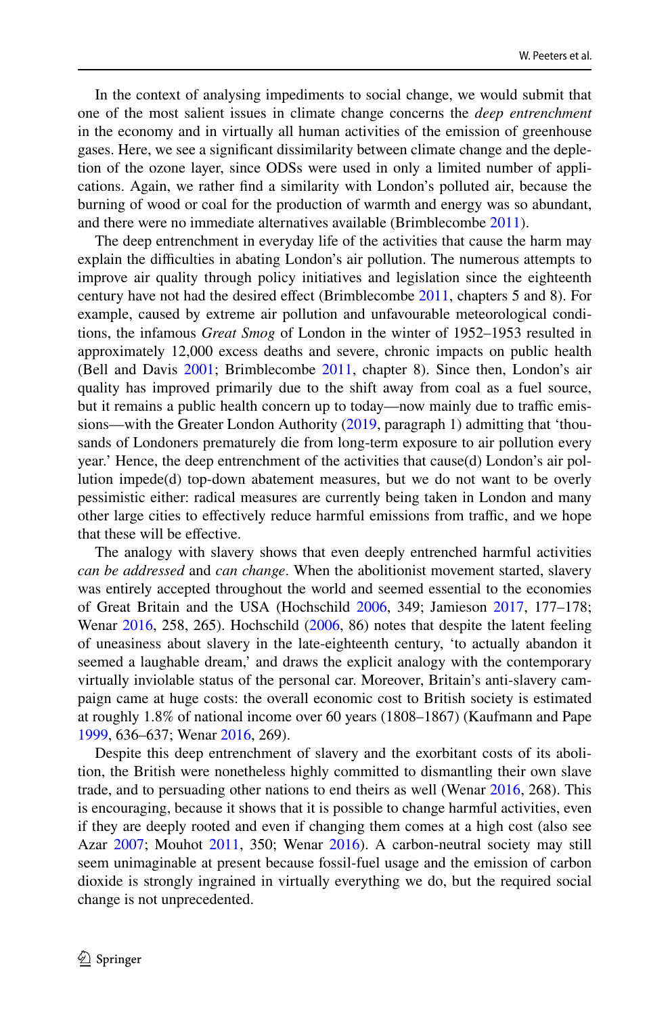In the context of analysing impediments to social change, we would submit that one of the most salient issues in climate change concerns the *deep entrenchment* in the economy and in virtually all human activities of the emission of greenhouse gases. Here, we see a signifcant dissimilarity between climate change and the depletion of the ozone layer, since ODSs were used in only a limited number of applications. Again, we rather fnd a similarity with London's polluted air, because the burning of wood or coal for the production of warmth and energy was so abundant, and there were no immediate alternatives available (Brimblecombe [2011\)](#page-20-15).

The deep entrenchment in everyday life of the activities that cause the harm may explain the difficulties in abating London's air pollution. The numerous attempts to improve air quality through policy initiatives and legislation since the eighteenth century have not had the desired efect (Brimblecombe [2011,](#page-20-15) chapters 5 and 8). For example, caused by extreme air pollution and unfavourable meteorological conditions, the infamous *Great Smog* of London in the winter of 1952–1953 resulted in approximately 12,000 excess deaths and severe, chronic impacts on public health (Bell and Davis [2001;](#page-20-19) Brimblecombe [2011](#page-20-15), chapter 8). Since then, London's air quality has improved primarily due to the shift away from coal as a fuel source, but it remains a public health concern up to today—now mainly due to traffic emissions—with the Greater London Authority [\(2019](#page-20-20), paragraph 1) admitting that 'thousands of Londoners prematurely die from long-term exposure to air pollution every year.' Hence, the deep entrenchment of the activities that cause(d) London's air pollution impede(d) top-down abatement measures, but we do not want to be overly pessimistic either: radical measures are currently being taken in London and many other large cities to effectively reduce harmful emissions from traffic, and we hope that these will be efective.

The analogy with slavery shows that even deeply entrenched harmful activities *can be addressed* and *can change*. When the abolitionist movement started, slavery was entirely accepted throughout the world and seemed essential to the economies of Great Britain and the USA (Hochschild [2006,](#page-20-21) 349; Jamieson [2017,](#page-21-21) 177–178; Wenar [2016](#page-22-7), 258, 265). Hochschild [\(2006](#page-20-21), 86) notes that despite the latent feeling of uneasiness about slavery in the late-eighteenth century, 'to actually abandon it seemed a laughable dream,' and draws the explicit analogy with the contemporary virtually inviolable status of the personal car. Moreover, Britain's anti-slavery campaign came at huge costs: the overall economic cost to British society is estimated at roughly 1.8% of national income over 60 years (1808–1867) (Kaufmann and Pape [1999](#page-21-27), 636–637; Wenar [2016,](#page-22-7) 269).

Despite this deep entrenchment of slavery and the exorbitant costs of its abolition, the British were nonetheless highly committed to dismantling their own slave trade, and to persuading other nations to end theirs as well (Wenar [2016,](#page-22-7) 268). This is encouraging, because it shows that it is possible to change harmful activities, even if they are deeply rooted and even if changing them comes at a high cost (also see Azar [2007;](#page-20-22) Mouhot [2011](#page-21-22), 350; Wenar [2016](#page-22-7)). A carbon-neutral society may still seem unimaginable at present because fossil-fuel usage and the emission of carbon dioxide is strongly ingrained in virtually everything we do, but the required social change is not unprecedented.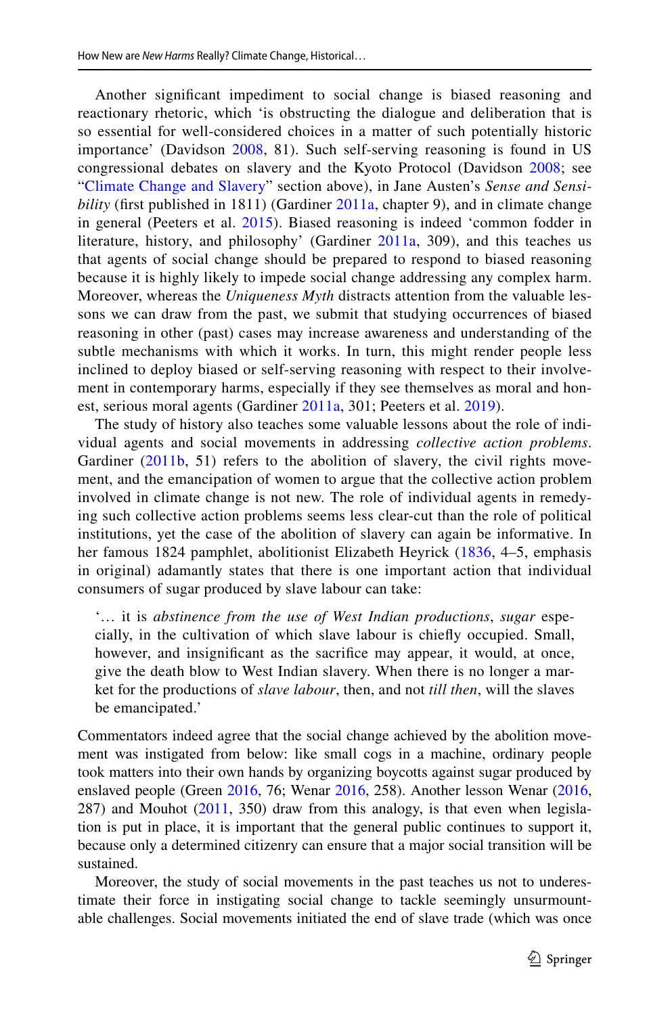Another signifcant impediment to social change is biased reasoning and reactionary rhetoric, which 'is obstructing the dialogue and deliberation that is so essential for well-considered choices in a matter of such potentially historic importance' (Davidson [2008,](#page-20-14) 81). Such self-serving reasoning is found in US congressional debates on slavery and the Kyoto Protocol (Davidson [2008](#page-20-14); see "[Climate Change and Slavery](#page-10-0)" section above), in Jane Austen's *Sense and Sensibility* (frst published in 1811) (Gardiner [2011a,](#page-20-23) chapter 9), and in climate change in general (Peeters et al. [2015](#page-21-20)). Biased reasoning is indeed 'common fodder in literature, history, and philosophy' (Gardiner [2011a](#page-20-23), 309), and this teaches us that agents of social change should be prepared to respond to biased reasoning because it is highly likely to impede social change addressing any complex harm. Moreover, whereas the *Uniqueness Myth* distracts attention from the valuable lessons we can draw from the past, we submit that studying occurrences of biased reasoning in other (past) cases may increase awareness and understanding of the subtle mechanisms with which it works. In turn, this might render people less inclined to deploy biased or self-serving reasoning with respect to their involvement in contemporary harms, especially if they see themselves as moral and honest, serious moral agents (Gardiner [2011a](#page-20-23), 301; Peeters et al. [2019](#page-21-28)).

The study of history also teaches some valuable lessons about the role of individual agents and social movements in addressing *collective action problems*. Gardiner ([2011b](#page-20-16), 51) refers to the abolition of slavery, the civil rights movement, and the emancipation of women to argue that the collective action problem involved in climate change is not new. The role of individual agents in remedying such collective action problems seems less clear-cut than the role of political institutions, yet the case of the abolition of slavery can again be informative. In her famous 1824 pamphlet, abolitionist Elizabeth Heyrick ([1836,](#page-20-24) 4–5, emphasis in original) adamantly states that there is one important action that individual consumers of sugar produced by slave labour can take:

'… it is *abstinence from the use of West Indian productions*, *sugar* especially, in the cultivation of which slave labour is chiefy occupied. Small, however, and insignifcant as the sacrifce may appear, it would, at once, give the death blow to West Indian slavery. When there is no longer a market for the productions of *slave labour*, then, and not *till then*, will the slaves be emancipated.'

Commentators indeed agree that the social change achieved by the abolition movement was instigated from below: like small cogs in a machine, ordinary people took matters into their own hands by organizing boycotts against sugar produced by enslaved people (Green [2016](#page-20-5), 76; Wenar [2016,](#page-22-7) 258). Another lesson Wenar ([2016,](#page-22-7) 287) and Mouhot [\(2011](#page-21-22), 350) draw from this analogy, is that even when legislation is put in place, it is important that the general public continues to support it, because only a determined citizenry can ensure that a major social transition will be sustained.

Moreover, the study of social movements in the past teaches us not to underestimate their force in instigating social change to tackle seemingly unsurmountable challenges. Social movements initiated the end of slave trade (which was once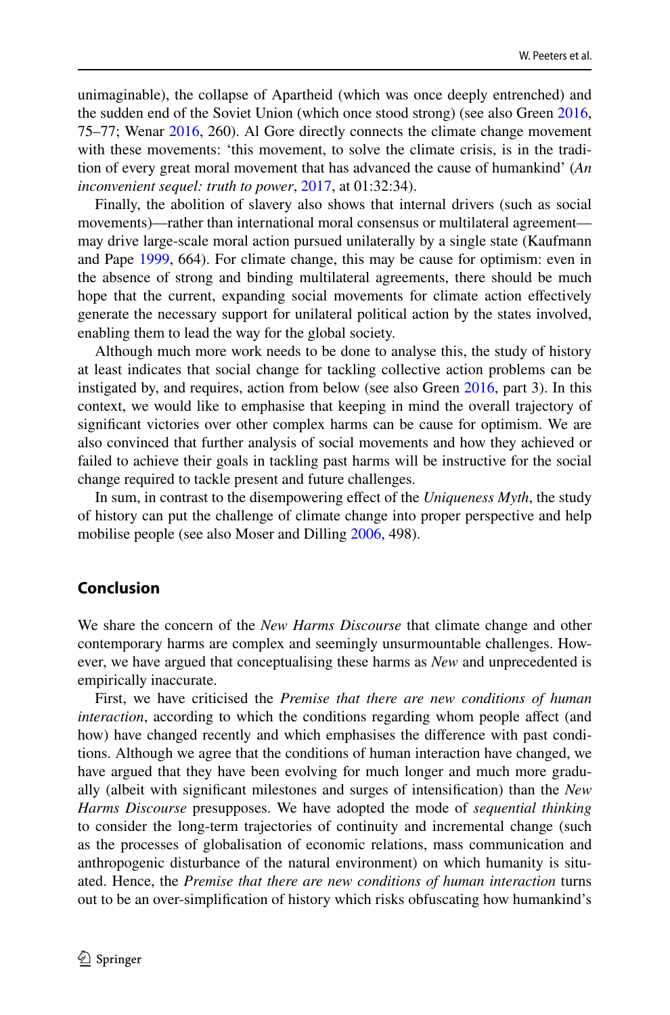unimaginable), the collapse of Apartheid (which was once deeply entrenched) and the sudden end of the Soviet Union (which once stood strong) (see also Green [2016,](#page-20-5) 75–77; Wenar [2016,](#page-22-7) 260). Al Gore directly connects the climate change movement with these movements: 'this movement, to solve the climate crisis, is in the tradition of every great moral movement that has advanced the cause of humankind' (*An inconvenient sequel: truth to power*, [2017,](#page-20-25) at 01:32:34).

Finally, the abolition of slavery also shows that internal drivers (such as social movements)—rather than international moral consensus or multilateral agreement may drive large-scale moral action pursued unilaterally by a single state (Kaufmann and Pape [1999](#page-21-27), 664). For climate change, this may be cause for optimism: even in the absence of strong and binding multilateral agreements, there should be much hope that the current, expanding social movements for climate action efectively generate the necessary support for unilateral political action by the states involved, enabling them to lead the way for the global society.

Although much more work needs to be done to analyse this, the study of history at least indicates that social change for tackling collective action problems can be instigated by, and requires, action from below (see also Green [2016,](#page-20-5) part 3). In this context, we would like to emphasise that keeping in mind the overall trajectory of signifcant victories over other complex harms can be cause for optimism. We are also convinced that further analysis of social movements and how they achieved or failed to achieve their goals in tackling past harms will be instructive for the social change required to tackle present and future challenges.

In sum, in contrast to the disempowering efect of the *Uniqueness Myth*, the study of history can put the challenge of climate change into proper perspective and help mobilise people (see also Moser and Dilling [2006](#page-21-7), 498).

#### **Conclusion**

We share the concern of the *New Harms Discourse* that climate change and other contemporary harms are complex and seemingly unsurmountable challenges. However, we have argued that conceptualising these harms as *New* and unprecedented is empirically inaccurate.

First, we have criticised the *Premise that there are new conditions of human interaction*, according to which the conditions regarding whom people afect (and how) have changed recently and which emphasises the diference with past conditions. Although we agree that the conditions of human interaction have changed, we have argued that they have been evolving for much longer and much more gradually (albeit with signifcant milestones and surges of intensifcation) than the *New Harms Discourse* presupposes. We have adopted the mode of *sequential thinking* to consider the long-term trajectories of continuity and incremental change (such as the processes of globalisation of economic relations, mass communication and anthropogenic disturbance of the natural environment) on which humanity is situated. Hence, the *Premise that there are new conditions of human interaction* turns out to be an over-simplifcation of history which risks obfuscating how humankind's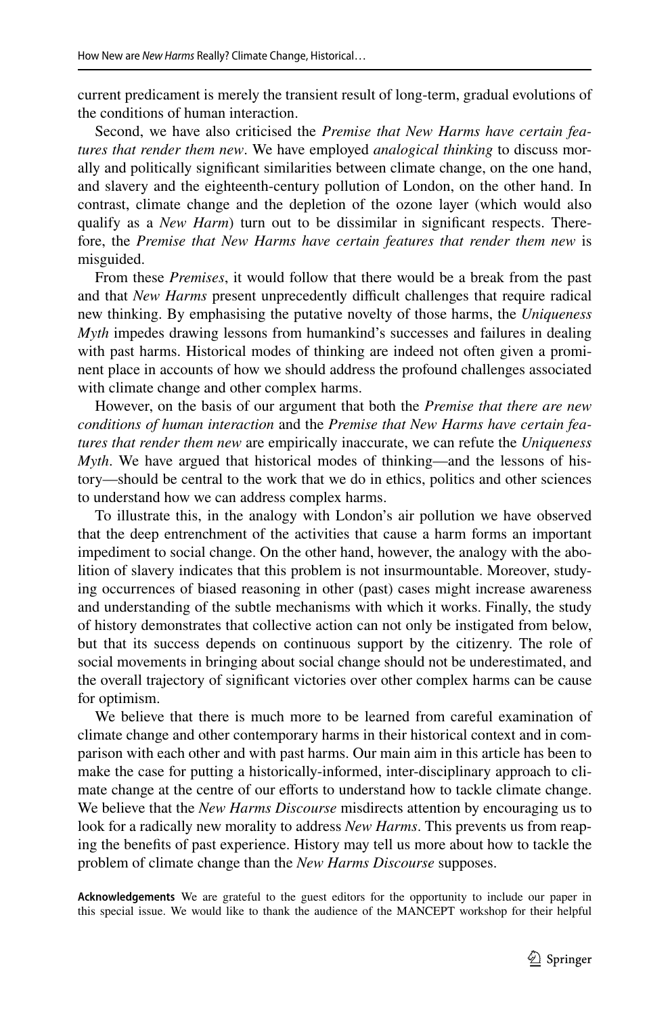current predicament is merely the transient result of long-term, gradual evolutions of the conditions of human interaction.

Second, we have also criticised the *Premise that New Harms have certain features that render them new*. We have employed *analogical thinking* to discuss morally and politically signifcant similarities between climate change, on the one hand, and slavery and the eighteenth-century pollution of London, on the other hand. In contrast, climate change and the depletion of the ozone layer (which would also qualify as a *New Harm*) turn out to be dissimilar in signifcant respects. Therefore, the *Premise that New Harms have certain features that render them new* is misguided.

From these *Premises*, it would follow that there would be a break from the past and that *New Harms* present unprecedently difficult challenges that require radical new thinking. By emphasising the putative novelty of those harms, the *Uniqueness Myth* impedes drawing lessons from humankind's successes and failures in dealing with past harms. Historical modes of thinking are indeed not often given a prominent place in accounts of how we should address the profound challenges associated with climate change and other complex harms.

However, on the basis of our argument that both the *Premise that there are new conditions of human interaction* and the *Premise that New Harms have certain features that render them new* are empirically inaccurate, we can refute the *Uniqueness Myth*. We have argued that historical modes of thinking—and the lessons of history—should be central to the work that we do in ethics, politics and other sciences to understand how we can address complex harms.

To illustrate this, in the analogy with London's air pollution we have observed that the deep entrenchment of the activities that cause a harm forms an important impediment to social change. On the other hand, however, the analogy with the abolition of slavery indicates that this problem is not insurmountable. Moreover, studying occurrences of biased reasoning in other (past) cases might increase awareness and understanding of the subtle mechanisms with which it works. Finally, the study of history demonstrates that collective action can not only be instigated from below, but that its success depends on continuous support by the citizenry. The role of social movements in bringing about social change should not be underestimated, and the overall trajectory of signifcant victories over other complex harms can be cause for optimism.

We believe that there is much more to be learned from careful examination of climate change and other contemporary harms in their historical context and in comparison with each other and with past harms. Our main aim in this article has been to make the case for putting a historically-informed, inter-disciplinary approach to climate change at the centre of our efforts to understand how to tackle climate change. We believe that the *New Harms Discourse* misdirects attention by encouraging us to look for a radically new morality to address *New Harms*. This prevents us from reaping the benefts of past experience. History may tell us more about how to tackle the problem of climate change than the *New Harms Discourse* supposes.

**Acknowledgements** We are grateful to the guest editors for the opportunity to include our paper in this special issue. We would like to thank the audience of the MANCEPT workshop for their helpful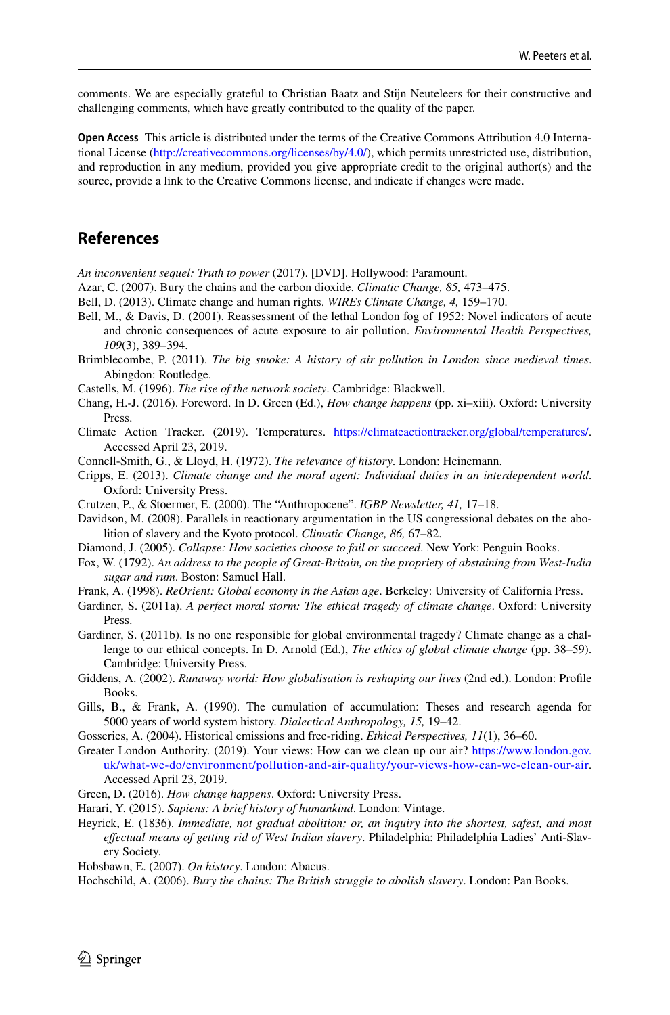comments. We are especially grateful to Christian Baatz and Stijn Neuteleers for their constructive and challenging comments, which have greatly contributed to the quality of the paper.

**Open Access** This article is distributed under the terms of the Creative Commons Attribution 4.0 International License ([http://creativecommons.org/licenses/by/4.0/\)](http://creativecommons.org/licenses/by/4.0/), which permits unrestricted use, distribution, and reproduction in any medium, provided you give appropriate credit to the original author(s) and the source, provide a link to the Creative Commons license, and indicate if changes were made.

# **References**

<span id="page-20-25"></span>*An inconvenient sequel: Truth to power* (2017). [DVD]. Hollywood: Paramount.

<span id="page-20-22"></span>Azar, C. (2007). Bury the chains and the carbon dioxide. *Climatic Change, 85,* 473–475.

<span id="page-20-0"></span>Bell, D. (2013). Climate change and human rights. *WIREs Climate Change, 4,* 159–170.

- <span id="page-20-19"></span>Bell, M., & Davis, D. (2001). Reassessment of the lethal London fog of 1952: Novel indicators of acute and chronic consequences of acute exposure to air pollution. *Environmental Health Perspectives, 109*(3), 389–394.
- <span id="page-20-15"></span>Brimblecombe, P. (2011). *The big smoke: A history of air pollution in London since medieval times*. Abingdon: Routledge.
- <span id="page-20-9"></span>Castells, M. (1996). *The rise of the network society*. Cambridge: Blackwell.
- <span id="page-20-18"></span>Chang, H.-J. (2016). Foreword. In D. Green (Ed.), *How change happens* (pp. xi–xiii). Oxford: University Press.
- <span id="page-20-17"></span>Climate Action Tracker. (2019). Temperatures. <https://climateactiontracker.org/global/temperatures/>. Accessed April 23, 2019.
- <span id="page-20-2"></span>Connell-Smith, G., & Lloyd, H. (1972). *The relevance of history*. London: Heinemann.
- <span id="page-20-1"></span>Cripps, E. (2013). *Climate change and the moral agent: Individual duties in an interdependent world*. Oxford: University Press.
- <span id="page-20-10"></span>Crutzen, P., & Stoermer, E. (2000). The "Anthropocene". *IGBP Newsletter, 41,* 17–18.
- <span id="page-20-14"></span>Davidson, M. (2008). Parallels in reactionary argumentation in the US congressional debates on the abolition of slavery and the Kyoto protocol. *Climatic Change, 86,* 67–82.
- <span id="page-20-11"></span>Diamond, J. (2005). *Collapse: How societies choose to fail or succeed*. New York: Penguin Books.
- <span id="page-20-13"></span>Fox, W. (1792). *An address to the people of Great-Britain, on the propriety of abstaining from West-India sugar and rum*. Boston: Samuel Hall.
- <span id="page-20-6"></span>Frank, A. (1998). *ReOrient: Global economy in the Asian age*. Berkeley: University of California Press.
- <span id="page-20-23"></span>Gardiner, S. (2011a). *A perfect moral storm: The ethical tragedy of climate change*. Oxford: University **Press**
- <span id="page-20-16"></span>Gardiner, S. (2011b). Is no one responsible for global environmental tragedy? Climate change as a challenge to our ethical concepts. In D. Arnold (Ed.), *The ethics of global climate change* (pp. 38–59). Cambridge: University Press.
- <span id="page-20-8"></span>Giddens, A. (2002). *Runaway world: How globalisation is reshaping our lives* (2nd ed.). London: Profle Books.
- <span id="page-20-7"></span>Gills, B., & Frank, A. (1990). The cumulation of accumulation: Theses and research agenda for 5000 years of world system history. *Dialectical Anthropology, 15,* 19–42.
- <span id="page-20-12"></span>Gosseries, A. (2004). Historical emissions and free-riding. *Ethical Perspectives, 11*(1), 36–60.
- <span id="page-20-20"></span>Greater London Authority. (2019). Your views: How can we clean up our air? [https://www.london.gov.](https://www.london.gov.uk/what-we-do/environment/pollution-and-air-quality/your-views-how-can-we-clean-our-air) [uk/what-we-do/environment/pollution-and-air-quality/your-views-how-can-we-clean-our-air](https://www.london.gov.uk/what-we-do/environment/pollution-and-air-quality/your-views-how-can-we-clean-our-air). Accessed April 23, 2019.
- <span id="page-20-5"></span>Green, D. (2016). *How change happens*. Oxford: University Press.
- <span id="page-20-4"></span>Harari, Y. (2015). *Sapiens: A brief history of humankind*. London: Vintage.
- <span id="page-20-24"></span>Heyrick, E. (1836). *Immediate, not gradual abolition; or, an inquiry into the shortest, safest, and most efectual means of getting rid of West Indian slavery*. Philadelphia: Philadelphia Ladies' Anti-Slavery Society.
- <span id="page-20-3"></span>Hobsbawn, E. (2007). *On history*. London: Abacus.
- <span id="page-20-21"></span>Hochschild, A. (2006). *Bury the chains: The British struggle to abolish slavery*. London: Pan Books.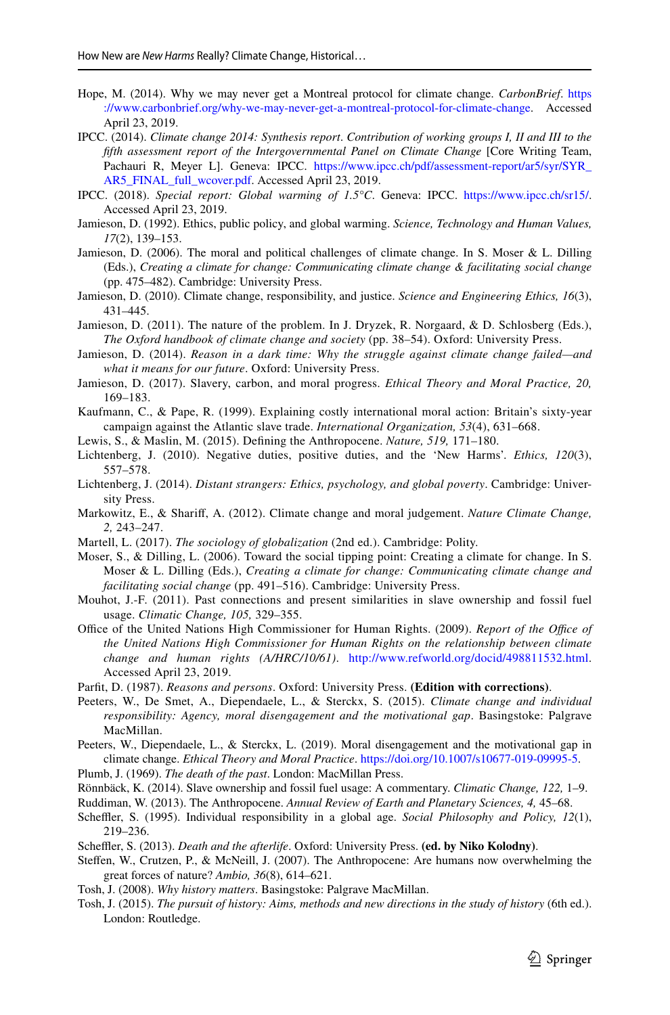- <span id="page-21-26"></span>Hope, M. (2014). Why we may never get a Montreal protocol for climate change. *CarbonBrief*. [https](https://www.carbonbrief.org/why-we-may-never-get-a-montreal-protocol-for-climate-change) [://www.carbonbrief.org/why-we-may-never-get-a-montreal-protocol-for-climate-change](https://www.carbonbrief.org/why-we-may-never-get-a-montreal-protocol-for-climate-change). Accessed April 23, 2019.
- <span id="page-21-0"></span>IPCC. (2014). *Climate change 2014: Synthesis report*. *Contribution of working groups I, II and III to the fifth assessment report of the Intergovernmental Panel on Climate Change* [Core Writing Team, Pachauri R, Meyer L]. Geneva: IPCC. [https://www.ipcc.ch/pdf/assessment-report/ar5/syr/SYR\\_](https://www.ipcc.ch/pdf/assessment-report/ar5/syr/SYR_AR5_FINAL_full_wcover.pdf) [AR5\\_FINAL\\_full\\_wcover.pdf.](https://www.ipcc.ch/pdf/assessment-report/ar5/syr/SYR_AR5_FINAL_full_wcover.pdf) Accessed April 23, 2019.
- <span id="page-21-25"></span>IPCC. (2018). *Special report: Global warming of 1.5°C*. Geneva: IPCC. <https://www.ipcc.ch/sr15/>. Accessed April 23, 2019.
- <span id="page-21-9"></span>Jamieson, D. (1992). Ethics, public policy, and global warming. *Science, Technology and Human Values, 17*(2), 139–153.
- <span id="page-21-4"></span>Jamieson, D. (2006). The moral and political challenges of climate change. In S. Moser & L. Dilling (Eds.), *Creating a climate for change: Communicating climate change & facilitating social change* (pp. 475–482). Cambridge: University Press.
- <span id="page-21-19"></span>Jamieson, D. (2010). Climate change, responsibility, and justice. *Science and Engineering Ethics, 16*(3), 431–445.
- <span id="page-21-5"></span>Jamieson, D. (2011). The nature of the problem. In J. Dryzek, R. Norgaard, & D. Schlosberg (Eds.), *The Oxford handbook of climate change and society* (pp. 38–54). Oxford: University Press.
- <span id="page-21-6"></span>Jamieson, D. (2014). *Reason in a dark time: Why the struggle against climate change failed—and what it means for our future*. Oxford: University Press.
- <span id="page-21-21"></span>Jamieson, D. (2017). Slavery, carbon, and moral progress. *Ethical Theory and Moral Practice, 20,* 169–183.
- <span id="page-21-27"></span>Kaufmann, C., & Pape, R. (1999). Explaining costly international moral action: Britain's sixty-year campaign against the Atlantic slave trade. *International Organization, 53*(4), 631–668.
- <span id="page-21-17"></span>Lewis, S., & Maslin, M. (2015). Defning the Anthropocene. *Nature, 519,* 171–180.
- <span id="page-21-2"></span>Lichtenberg, J. (2010). Negative duties, positive duties, and the 'New Harms'. *Ethics, 120*(3), 557–578.
- <span id="page-21-3"></span>Lichtenberg, J. (2014). *Distant strangers: Ethics, psychology, and global poverty*. Cambridge: University Press.
- <span id="page-21-24"></span>Markowitz, E., & Sharif, A. (2012). Climate change and moral judgement. *Nature Climate Change, 2,* 243–247.
- <span id="page-21-14"></span>Martell, L. (2017). *The sociology of globalization* (2nd ed.). Cambridge: Polity.
- <span id="page-21-7"></span>Moser, S., & Dilling, L. (2006). Toward the social tipping point: Creating a climate for change. In S. Moser & L. Dilling (Eds.), *Creating a climate for change: Communicating climate change and facilitating social change* (pp. 491–516). Cambridge: University Press.
- <span id="page-21-22"></span>Mouhot, J.-F. (2011). Past connections and present similarities in slave ownership and fossil fuel usage. *Climatic Change, 105,* 329–355.
- <span id="page-21-1"></span>Office of the United Nations High Commissioner for Human Rights. (2009). *Report of the Office of the United Nations High Commissioner for Human Rights on the relationship between climate change and human rights (A/HRC/10/61)*. <http://www.refworld.org/docid/498811532.html>. Accessed April 23, 2019.
- <span id="page-21-11"></span>Parft, D. (1987). *Reasons and persons*. Oxford: University Press. **(Edition with corrections)**.
- <span id="page-21-20"></span>Peeters, W., De Smet, A., Diependaele, L., & Sterckx, S. (2015). *Climate change and individual responsibility: Agency, moral disengagement and the motivational gap*. Basingstoke: Palgrave MacMillan.
- <span id="page-21-28"></span>Peeters, W., Diependaele, L., & Sterckx, L. (2019). Moral disengagement and the motivational gap in climate change. *Ethical Theory and Moral Practice*. <https://doi.org/10.1007/s10677-019-09995-5>.
- <span id="page-21-12"></span>Plumb, J. (1969). *The death of the past*. London: MacMillan Press.
- <span id="page-21-23"></span>Rönnbäck, K. (2014). Slave ownership and fossil fuel usage: A commentary. *Climatic Change, 122,* 1–9.
- <span id="page-21-15"></span>Ruddiman, W. (2013). The Anthropocene. *Annual Review of Earth and Planetary Sciences, 4,* 45–68.
- <span id="page-21-10"></span>Scheffler, S. (1995). Individual responsibility in a global age. *Social Philosophy and Policy*, 12(1), 219–236.
- <span id="page-21-18"></span>Scheffler, S. (2013). *Death and the afterlife*. Oxford: University Press. (ed. by Niko Kolodny).
- <span id="page-21-16"></span>Stefen, W., Crutzen, P., & McNeill, J. (2007). The Anthropocene: Are humans now overwhelming the great forces of nature? *Ambio, 36*(8), 614–621.
- <span id="page-21-8"></span>Tosh, J. (2008). *Why history matters*. Basingstoke: Palgrave MacMillan.
- <span id="page-21-13"></span>Tosh, J. (2015). *The pursuit of history: Aims, methods and new directions in the study of history* (6th ed.). London: Routledge.